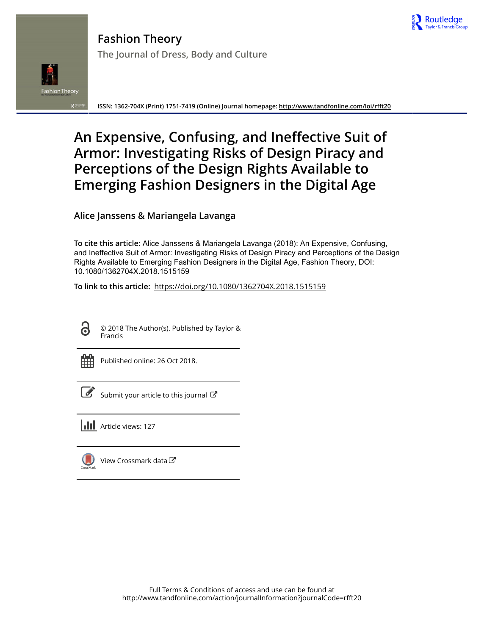

**Fashion Theory The Journal of Dress, Body and Culture**



**ISSN: 1362-704X (Print) 1751-7419 (Online) Journal homepage: <http://www.tandfonline.com/loi/rfft20>**

# **An Expensive, Confusing, and Ineffective Suit of Armor: Investigating Risks of Design Piracy and Perceptions of the Design Rights Available to Emerging Fashion Designers in the Digital Age**

**Alice Janssens & Mariangela Lavanga**

**To cite this article:** Alice Janssens & Mariangela Lavanga (2018): An Expensive, Confusing, and Ineffective Suit of Armor: Investigating Risks of Design Piracy and Perceptions of the Design Rights Available to Emerging Fashion Designers in the Digital Age, Fashion Theory, DOI: [10.1080/1362704X.2018.1515159](http://www.tandfonline.com/action/showCitFormats?doi=10.1080/1362704X.2018.1515159)

**To link to this article:** <https://doi.org/10.1080/1362704X.2018.1515159>

| I |  |
|---|--|

© 2018 The Author(s). Published by Taylor & Francis

Published online: 26 Oct 2018.

[Submit your article to this journal](http://www.tandfonline.com/action/authorSubmission?journalCode=rfft20&show=instructions)  $\mathbb{Z}$ 

**III** Article views: 127



[View Crossmark data](http://crossmark.crossref.org/dialog/?doi=10.1080/1362704X.2018.1515159&domain=pdf&date_stamp=2018-10-26)<sup>√</sup>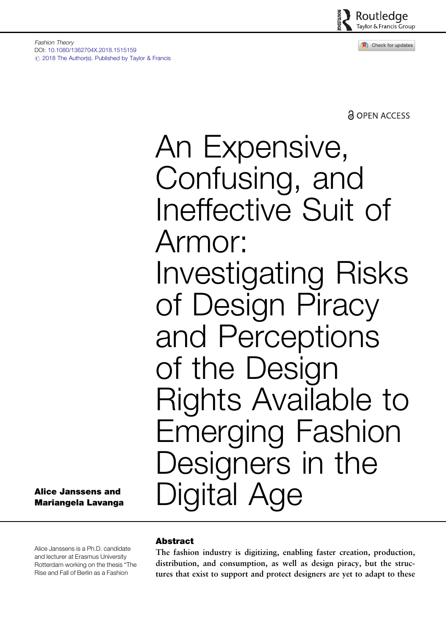

Check for updates

Fashion Theory DOI: [10.1080/1362704X.2018.1515159](https://doi.org./10.1080/1362704X.2018.1515159)  $\odot$  2018 The Author(s). Published by Taylor & Francis

**a** OPEN ACCESS

An Expensive, Confusing, and Ineffective Suit of Armor: Investigating Risks of Design Piracy and Perceptions of the Design Rights Available to Emerging Fashion Designers in the Alice Janssens and  $\hskip1cm$   $\hskip1cm$   $\hskip1cm$   $\hskip1cm$  Digital  $\hskip1cm$   $\hskip1cm$  Ag $\hskip1cm$   $\hskip1cm$   $\hskip1cm$   $\hskip1cm$   $\hskip1cm$   $\hskip1cm$   $\hskip1cm$   $\hskip1cm$   $\hskip1cm$   $\hskip1cm$   $\hskip1cm$   $\hskip1cm$   $\hskip1cm$   $\hskip1cm$   $\hskip1cm$   $\hskip1cm$   $\hskip1cm$   $\hskip1cm$ 

Mariangela Lavanga

Alice Janssens is a Ph.D. candidate and lecturer at Erasmus University Rotterdam working on the thesis "The Rise and Fall of Berlin as a Fashion

# Abstract

The fashion industry is digitizing, enabling faster creation, production, distribution, and consumption, as well as design piracy, but the structures that exist to support and protect designers are yet to adapt to these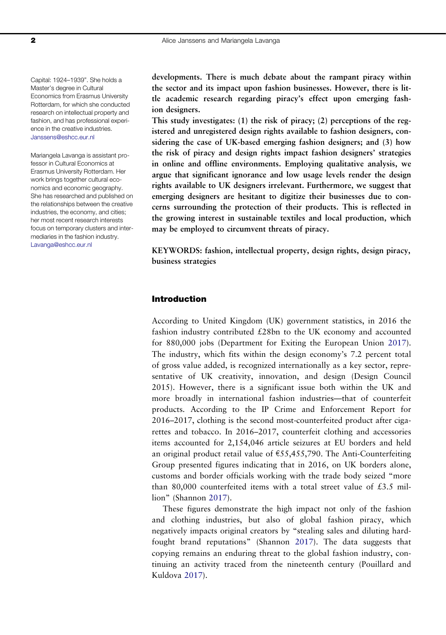<span id="page-2-0"></span>Capital: 1924–1939". She holds a Master's degree in Cultural Economics from Erasmus University Rotterdam, for which she conducted research on intellectual property and fashion, and has professional experience in the creative industries. Janssens@eshcc.eur.nl

Mariangela Lavanga is assistant professor in Cultural Economics at Erasmus University Rotterdam. Her work brings together cultural economics and economic geography. She has researched and published on the relationships between the creative industries, the economy, and cities; her most recent research interests focus on temporary clusters and intermediaries in the fashion industry. Lavanga@eshcc.eur.nl

developments. There is much debate about the rampant piracy within the sector and its impact upon fashion businesses. However, there is little academic research regarding piracy's effect upon emerging fashion designers.

This study investigates: (1) the risk of piracy; (2) perceptions of the registered and unregistered design rights available to fashion designers, considering the case of UK-based emerging fashion designers; and (3) how the risk of piracy and design rights impact fashion designers' strategies in online and offline environments. Employing qualitative analysis, we argue that significant ignorance and low usage levels render the design rights available to UK designers irrelevant. Furthermore, we suggest that emerging designers are hesitant to digitize their businesses due to concerns surrounding the protection of their products. This is reflected in the growing interest in sustainable textiles and local production, which may be employed to circumvent threats of piracy.

KEYWORDS: fashion, intellectual property, design rights, design piracy, business strategies

## Introduction

According to United Kingdom (UK) government statistics, in 2016 the fashion industry contributed £28bn to the UK economy and accounted for 880,000 jobs (Department for Exiting the European Union [2017](#page-26-0)). The industry, which fits within the design economy's 7.2 percent total of gross value added, is recognized internationally as a key sector, representative of UK creativity, innovation, and design (Design Council 2015). However, there is a significant issue both within the UK and more broadly in international fashion industries—that of counterfeit products. According to the IP Crime and Enforcement Report for 2016–2017, clothing is the second most-counterfeited product after cigarettes and tobacco. In 2016–2017, counterfeit clothing and accessories items accounted for 2,154,046 article seizures at EU borders and held an original product retail value of  $£55,455,790$ . The Anti-Counterfeiting Group presented figures indicating that in 2016, on UK borders alone, customs and border officials working with the trade body seized "more than 80,000 counterfeited items with a total street value of £3.5 million" (Shannon [2017](#page-29-0)).

These figures demonstrate the high impact not only of the fashion and clothing industries, but also of global fashion piracy, which negatively impacts original creators by "stealing sales and diluting hardfought brand reputations" (Shannon [2017\)](#page-29-0). The data suggests that copying remains an enduring threat to the global fashion industry, continuing an activity traced from the nineteenth century (Pouillard and Kuldova [2017](#page-29-0)).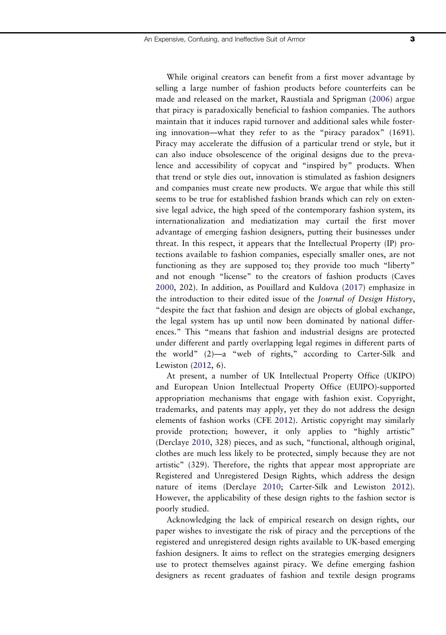<span id="page-3-0"></span>While original creators can benefit from a first mover advantage by selling a large number of fashion products before counterfeits can be made and released on the market, Raustiala and Sprigman [\(2006](#page-29-0)) argue that piracy is paradoxically beneficial to fashion companies. The authors maintain that it induces rapid turnover and additional sales while fostering innovation—what they refer to as the "piracy paradox" (1691). Piracy may accelerate the diffusion of a particular trend or style, but it can also induce obsolescence of the original designs due to the prevalence and accessibility of copycat and "inspired by" products. When that trend or style dies out, innovation is stimulated as fashion designers and companies must create new products. We argue that while this still seems to be true for established fashion brands which can rely on extensive legal advice, the high speed of the contemporary fashion system, its internationalization and mediatization may curtail the first mover advantage of emerging fashion designers, putting their businesses under threat. In this respect, it appears that the Intellectual Property (IP) protections available to fashion companies, especially smaller ones, are not functioning as they are supposed to; they provide too much "liberty" and not enough "license" to the creators of fashion products (Caves [2000](#page-26-0), 202). In addition, as Pouillard and Kuldova [\(2017](#page-29-0)) emphasize in the introduction to their edited issue of the Journal of Design History, "despite the fact that fashion and design are objects of global exchange, the legal system has up until now been dominated by national differences." This "means that fashion and industrial designs are protected under different and partly overlapping legal regimes in different parts of the world" (2)—a "web of rights," according to Carter-Silk and Lewiston ([2012,](#page-26-0) 6).

At present, a number of UK Intellectual Property Office (UKIPO) and European Union Intellectual Property Office (EUIPO)-supported appropriation mechanisms that engage with fashion exist. Copyright, trademarks, and patents may apply, yet they do not address the design elements of fashion works (CFE [2012](#page-26-0)). Artistic copyright may similarly provide protection; however, it only applies to "highly artistic" (Derclaye [2010](#page-26-0), 328) pieces, and as such, "functional, although original, clothes are much less likely to be protected, simply because they are not artistic" (329). Therefore, the rights that appear most appropriate are Registered and Unregistered Design Rights, which address the design nature of items (Derclaye [2010;](#page-26-0) Carter-Silk and Lewiston [2012\)](#page-26-0). However, the applicability of these design rights to the fashion sector is poorly studied.

Acknowledging the lack of empirical research on design rights, our paper wishes to investigate the risk of piracy and the perceptions of the registered and unregistered design rights available to UK-based emerging fashion designers. It aims to reflect on the strategies emerging designers use to protect themselves against piracy. We define emerging fashion designers as recent graduates of fashion and textile design programs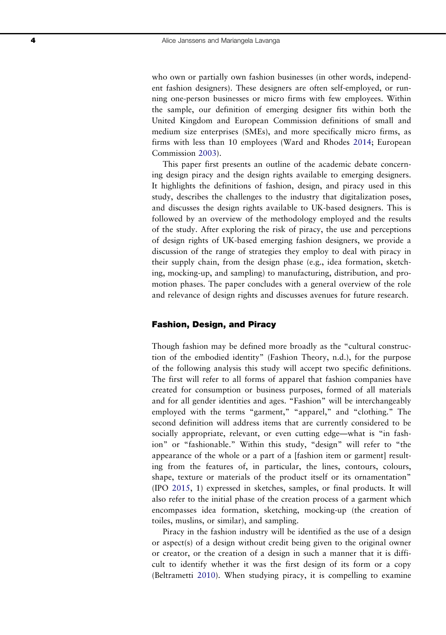<span id="page-4-0"></span>who own or partially own fashion businesses (in other words, independent fashion designers). These designers are often self-employed, or running one-person businesses or micro firms with few employees. Within the sample, our definition of emerging designer fits within both the United Kingdom and European Commission definitions of small and medium size enterprises (SMEs), and more specifically micro firms, as firms with less than 10 employees (Ward and Rhodes [2014;](#page-30-0) European Commission [2003\)](#page-27-0).

This paper first presents an outline of the academic debate concerning design piracy and the design rights available to emerging designers. It highlights the definitions of fashion, design, and piracy used in this study, describes the challenges to the industry that digitalization poses, and discusses the design rights available to UK-based designers. This is followed by an overview of the methodology employed and the results of the study. After exploring the risk of piracy, the use and perceptions of design rights of UK-based emerging fashion designers, we provide a discussion of the range of strategies they employ to deal with piracy in their supply chain, from the design phase (e.g., idea formation, sketching, mocking-up, and sampling) to manufacturing, distribution, and promotion phases. The paper concludes with a general overview of the role and relevance of design rights and discusses avenues for future research.

#### Fashion, Design, and Piracy

Though fashion may be defined more broadly as the "cultural construction of the embodied identity" (Fashion Theory, n.d.), for the purpose of the following analysis this study will accept two specific definitions. The first will refer to all forms of apparel that fashion companies have created for consumption or business purposes, formed of all materials and for all gender identities and ages. "Fashion" will be interchangeably employed with the terms "garment," "apparel," and "clothing." The second definition will address items that are currently considered to be socially appropriate, relevant, or even cutting edge—what is "in fashion" or "fashionable." Within this study, "design" will refer to "the appearance of the whole or a part of a [fashion item or garment] resulting from the features of, in particular, the lines, contours, colours, shape, texture or materials of the product itself or its ornamentation" (IPO [2015](#page-28-0), 1) expressed in sketches, samples, or final products. It will also refer to the initial phase of the creation process of a garment which encompasses idea formation, sketching, mocking-up (the creation of toiles, muslins, or similar), and sampling.

Piracy in the fashion industry will be identified as the use of a design or aspect(s) of a design without credit being given to the original owner or creator, or the creation of a design in such a manner that it is difficult to identify whether it was the first design of its form or a copy (Beltrametti [2010](#page-25-0)). When studying piracy, it is compelling to examine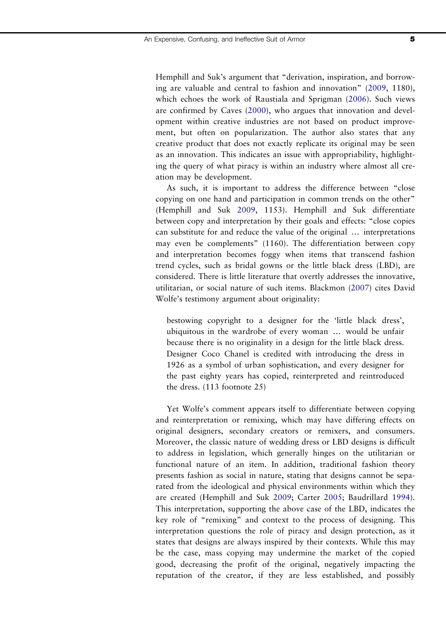<span id="page-5-0"></span>An Expensive, Confusing, and Ineffective Suit of Armor

Hemphill and Suk's argument that "derivation, inspiration, and borrowing are valuable and central to fashion and innovation" [\(2009](#page-28-0), 1180), which echoes the work of Raustiala and Sprigman ([2006\)](#page-29-0). Such views are confirmed by Caves [\(2000](#page-26-0)), who argues that innovation and development within creative industries are not based on product improvement, but often on popularization. The author also states that any creative product that does not exactly replicate its original may be seen as an innovation. This indicates an issue with appropriability, highlighting the query of what piracy is within an industry where almost all creation may be development.

As such, it is important to address the difference between "close copying on one hand and participation in common trends on the other" (Hemphill and Suk [2009,](#page-28-0) 1153). Hemphill and Suk differentiate between copy and interpretation by their goals and effects: "close copies can substitute for and reduce the value of the original … interpretations may even be complements" (1160). The differentiation between copy and interpretation becomes foggy when items that transcend fashion trend cycles, such as bridal gowns or the little black dress (LBD), are considered. There is little literature that overtly addresses the innovative, utilitarian, or social nature of such items. Blackmon [\(2007](#page-26-0)) cites David Wolfe's testimony argument about originality:

bestowing copyright to a designer for the 'little black dress', ubiquitous in the wardrobe of every woman … would be unfair because there is no originality in a design for the little black dress. Designer Coco Chanel is credited with introducing the dress in 1926 as a symbol of urban sophistication, and every designer for the past eighty years has copied, reinterpreted and reintroduced the dress. (113 footnote 25)

Yet Wolfe's comment appears itself to differentiate between copying and reinterpretation or remixing, which may have differing effects on original designers, secondary creators or remixers, and consumers. Moreover, the classic nature of wedding dress or LBD designs is difficult to address in legislation, which generally hinges on the utilitarian or functional nature of an item. In addition, traditional fashion theory presents fashion as social in nature, stating that designs cannot be separated from the ideological and physical environments within which they are created (Hemphill and Suk [2009](#page-28-0); Carter [2005;](#page-26-0) Baudrillard [1994\)](#page-25-0). This interpretation, supporting the above case of the LBD, indicates the key role of "remixing" and context to the process of designing. This interpretation questions the role of piracy and design protection, as it states that designs are always inspired by their contexts. While this may be the case, mass copying may undermine the market of the copied good, decreasing the profit of the original, negatively impacting the reputation of the creator, if they are less established, and possibly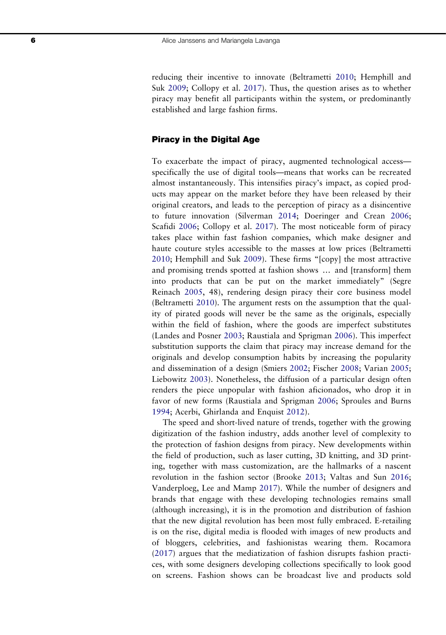<span id="page-6-0"></span>reducing their incentive to innovate (Beltrametti [2010](#page-25-0); Hemphill and Suk [2009](#page-28-0); Collopy et al. [2017\)](#page-26-0). Thus, the question arises as to whether piracy may benefit all participants within the system, or predominantly established and large fashion firms.

# Piracy in the Digital Age

To exacerbate the impact of piracy, augmented technological access specifically the use of digital tools—means that works can be recreated almost instantaneously. This intensifies piracy's impact, as copied products may appear on the market before they have been released by their original creators, and leads to the perception of piracy as a disincentive to future innovation (Silverman [2014](#page-29-0); Doeringer and Crean [2006](#page-27-0); Scafidi [2006;](#page-29-0) Collopy et al. [2017\)](#page-26-0). The most noticeable form of piracy takes place within fast fashion companies, which make designer and haute couture styles accessible to the masses at low prices (Beltrametti [2010](#page-25-0); Hemphill and Suk [2009\)](#page-28-0). These firms "[copy] the most attractive and promising trends spotted at fashion shows … and [transform] them into products that can be put on the market immediately" (Segre Reinach [2005](#page-29-0), 48), rendering design piracy their core business model (Beltrametti [2010](#page-25-0)). The argument rests on the assumption that the quality of pirated goods will never be the same as the originals, especially within the field of fashion, where the goods are imperfect substitutes (Landes and Posner [2003;](#page-28-0) Raustiala and Sprigman [2006](#page-29-0)). This imperfect substitution supports the claim that piracy may increase demand for the originals and develop consumption habits by increasing the popularity and dissemination of a design (Smiers [2002;](#page-29-0) Fischer [2008](#page-27-0); Varian [2005](#page-30-0); Liebowitz [2003](#page-28-0)). Nonetheless, the diffusion of a particular design often renders the piece unpopular with fashion aficionados, who drop it in favor of new forms (Raustiala and Sprigman [2006;](#page-29-0) Sproules and Burns [1994](#page-29-0); Acerbi, Ghirlanda and Enquist [2012](#page-25-0)).

The speed and short-lived nature of trends, together with the growing digitization of the fashion industry, adds another level of complexity to the protection of fashion designs from piracy. New developments within the field of production, such as laser cutting, 3D knitting, and 3D printing, together with mass customization, are the hallmarks of a nascent revolution in the fashion sector (Brooke [2013;](#page-26-0) Valtas and Sun [2016](#page-30-0); Vanderploeg, Lee and Mamp [2017](#page-30-0)). While the number of designers and brands that engage with these developing technologies remains small (although increasing), it is in the promotion and distribution of fashion that the new digital revolution has been most fully embraced. E-retailing is on the rise, digital media is flooded with images of new products and of bloggers, celebrities, and fashionistas wearing them. Rocamora [\(2017](#page-29-0)) argues that the mediatization of fashion disrupts fashion practices, with some designers developing collections specifically to look good on screens. Fashion shows can be broadcast live and products sold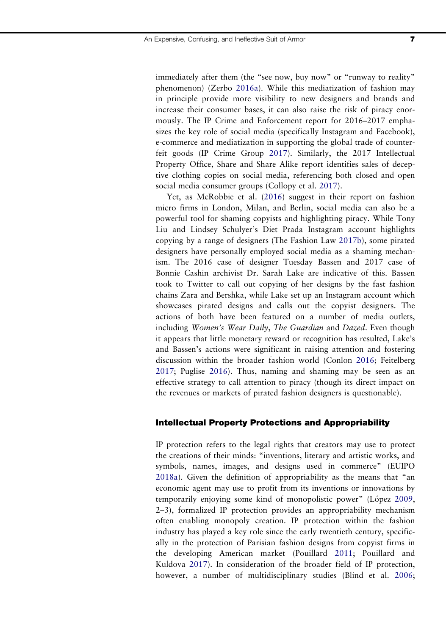<span id="page-7-0"></span>immediately after them (the "see now, buy now" or "runway to reality" phenomenon) (Zerbo [2016a\)](#page-30-0). While this mediatization of fashion may in principle provide more visibility to new designers and brands and increase their consumer bases, it can also raise the risk of piracy enormously. The IP Crime and Enforcement report for 2016–2017 emphasizes the key role of social media (specifically Instagram and Facebook), e-commerce and mediatization in supporting the global trade of counterfeit goods (IP Crime Group [2017\)](#page-28-0). Similarly, the 2017 Intellectual Property Office, Share and Share Alike report identifies sales of deceptive clothing copies on social media, referencing both closed and open social media consumer groups (Collopy et al. [2017](#page-26-0)).

Yet, as McRobbie et al. [\(2016](#page-28-0)) suggest in their report on fashion micro firms in London, Milan, and Berlin, social media can also be a powerful tool for shaming copyists and highlighting piracy. While Tony Liu and Lindsey Schulyer's Diet Prada Instagram account highlights copying by a range of designers (The Fashion Law [2017b](#page-30-0)), some pirated designers have personally employed social media as a shaming mechanism. The 2016 case of designer Tuesday Bassen and 2017 case of Bonnie Cashin archivist Dr. Sarah Lake are indicative of this. Bassen took to Twitter to call out copying of her designs by the fast fashion chains Zara and Bershka, while Lake set up an Instagram account which showcases pirated designs and calls out the copyist designers. The actions of both have been featured on a number of media outlets, including Women's Wear Daily, The Guardian and Dazed. Even though it appears that little monetary reward or recognition has resulted, Lake's and Bassen's actions were significant in raising attention and fostering discussion within the broader fashion world (Conlon [2016](#page-26-0); Feitelberg [2017](#page-27-0); Puglise [2016\)](#page-29-0). Thus, naming and shaming may be seen as an effective strategy to call attention to piracy (though its direct impact on the revenues or markets of pirated fashion designers is questionable).

# Intellectual Property Protections and Appropriability

IP protection refers to the legal rights that creators may use to protect the creations of their minds: "inventions, literary and artistic works, and symbols, names, images, and designs used in commerce" (EUIPO [2018a\)](#page-27-0). Given the definition of appropriability as the means that "an economic agent may use to profit from its inventions or innovations by temporarily enjoying some kind of monopolistic power" (López [2009,](#page-28-0) 2–3), formalized IP protection provides an appropriability mechanism often enabling monopoly creation. IP protection within the fashion industry has played a key role since the early twentieth century, specifically in the protection of Parisian fashion designs from copyist firms in the developing American market (Pouillard [2011](#page-29-0); Pouillard and Kuldova [2017\)](#page-29-0). In consideration of the broader field of IP protection, however, a number of multidisciplinary studies (Blind et al. [2006;](#page-26-0)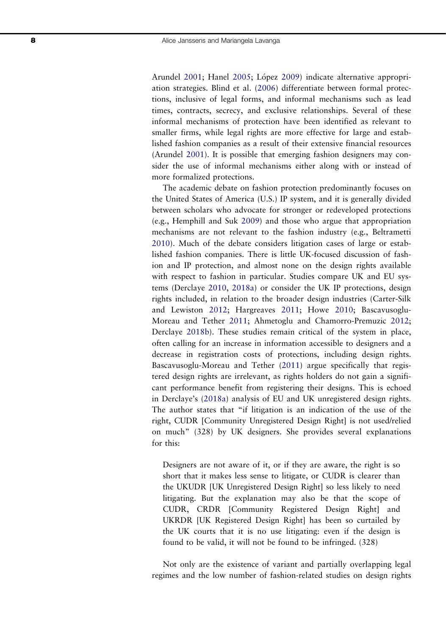<span id="page-8-0"></span>Arundel [2001;](#page-25-0) Hanel [2005;](#page-27-0) López [2009\)](#page-28-0) indicate alternative appropriation strategies. Blind et al. ([2006\)](#page-26-0) differentiate between formal protections, inclusive of legal forms, and informal mechanisms such as lead times, contracts, secrecy, and exclusive relationships. Several of these informal mechanisms of protection have been identified as relevant to smaller firms, while legal rights are more effective for large and established fashion companies as a result of their extensive financial resources (Arundel [2001](#page-25-0)). It is possible that emerging fashion designers may consider the use of informal mechanisms either along with or instead of more formalized protections.

The academic debate on fashion protection predominantly focuses on the United States of America (U.S.) IP system, and it is generally divided between scholars who advocate for stronger or redeveloped protections (e.g., Hemphill and Suk [2009](#page-28-0)) and those who argue that appropriation mechanisms are not relevant to the fashion industry (e.g., Beltrametti [2010](#page-25-0)). Much of the debate considers litigation cases of large or established fashion companies. There is little UK-focused discussion of fashion and IP protection, and almost none on the design rights available with respect to fashion in particular. Studies compare UK and EU systems (Derclaye [2010,](#page-26-0) [2018a](#page-27-0)) or consider the UK IP protections, design rights included, in relation to the broader design industries (Carter-Silk and Lewiston [2012](#page-26-0); Hargreaves [2011](#page-28-0); Howe [2010;](#page-28-0) Bascavusoglu-Moreau and Tether [2011;](#page-25-0) Ahmetoglu and Chamorro-Premuzic [2012](#page-25-0); Derclaye [2018b](#page-27-0)). These studies remain critical of the system in place, often calling for an increase in information accessible to designers and a decrease in registration costs of protections, including design rights. Bascavusoglu-Moreau and Tether ([2011\)](#page-25-0) argue specifically that registered design rights are irrelevant, as rights holders do not gain a significant performance benefit from registering their designs. This is echoed in Derclaye's [\(2018a\)](#page-27-0) analysis of EU and UK unregistered design rights. The author states that "if litigation is an indication of the use of the right, CUDR [Community Unregistered Design Right] is not used/relied on much" (328) by UK designers. She provides several explanations for this:

Designers are not aware of it, or if they are aware, the right is so short that it makes less sense to litigate, or CUDR is clearer than the UKUDR [UK Unregistered Design Right] so less likely to need litigating. But the explanation may also be that the scope of CUDR, CRDR [Community Registered Design Right] and UKRDR [UK Registered Design Right] has been so curtailed by the UK courts that it is no use litigating: even if the design is found to be valid, it will not be found to be infringed. (328)

Not only are the existence of variant and partially overlapping legal regimes and the low number of fashion-related studies on design rights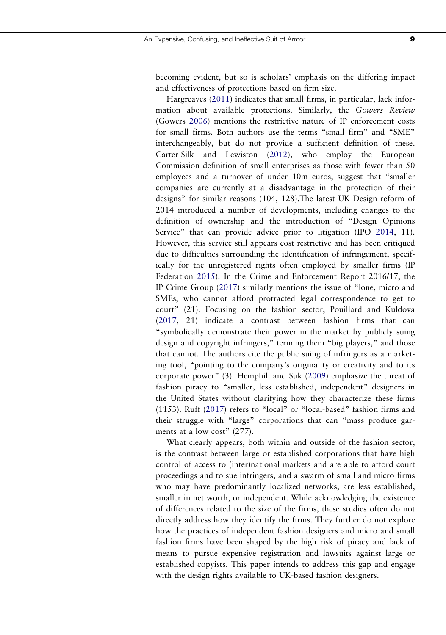<span id="page-9-0"></span>becoming evident, but so is scholars' emphasis on the differing impact and effectiveness of protections based on firm size.

Hargreaves [\(2011](#page-28-0)) indicates that small firms, in particular, lack information about available protections. Similarly, the Gowers Review (Gowers [2006](#page-27-0)) mentions the restrictive nature of IP enforcement costs for small firms. Both authors use the terms "small firm" and "SME" interchangeably, but do not provide a sufficient definition of these. Carter-Silk and Lewiston [\(2012](#page-26-0)), who employ the European Commission definition of small enterprises as those with fewer than 50 employees and a turnover of under 10m euros, suggest that "smaller companies are currently at a disadvantage in the protection of their designs" for similar reasons (104, 128).The latest UK Design reform of 2014 introduced a number of developments, including changes to the definition of ownership and the introduction of "Design Opinions Service" that can provide advice prior to litigation (IPO [2014,](#page-28-0) 11). However, this service still appears cost restrictive and has been critiqued due to difficulties surrounding the identification of infringement, specifically for the unregistered rights often employed by smaller firms (IP Federation [2015](#page-28-0)). In the Crime and Enforcement Report 2016/17, the IP Crime Group [\(2017](#page-28-0)) similarly mentions the issue of "lone, micro and SMEs, who cannot afford protracted legal correspondence to get to court" (21). Focusing on the fashion sector, Pouillard and Kuldova [\(2017](#page-29-0), 21) indicate a contrast between fashion firms that can "symbolically demonstrate their power in the market by publicly suing design and copyright infringers," terming them "big players," and those that cannot. The authors cite the public suing of infringers as a marketing tool, "pointing to the company's originality or creativity and to its corporate power" (3). Hemphill and Suk [\(2009\)](#page-28-0) emphasize the threat of fashion piracy to "smaller, less established, independent" designers in the United States without clarifying how they characterize these firms (1153). Ruff ([2017\)](#page-29-0) refers to "local" or "local-based" fashion firms and their struggle with "large" corporations that can "mass produce garments at a low cost" (277).

What clearly appears, both within and outside of the fashion sector, is the contrast between large or established corporations that have high control of access to (inter)national markets and are able to afford court proceedings and to sue infringers, and a swarm of small and micro firms who may have predominantly localized networks, are less established, smaller in net worth, or independent. While acknowledging the existence of differences related to the size of the firms, these studies often do not directly address how they identify the firms. They further do not explore how the practices of independent fashion designers and micro and small fashion firms have been shaped by the high risk of piracy and lack of means to pursue expensive registration and lawsuits against large or established copyists. This paper intends to address this gap and engage with the design rights available to UK-based fashion designers.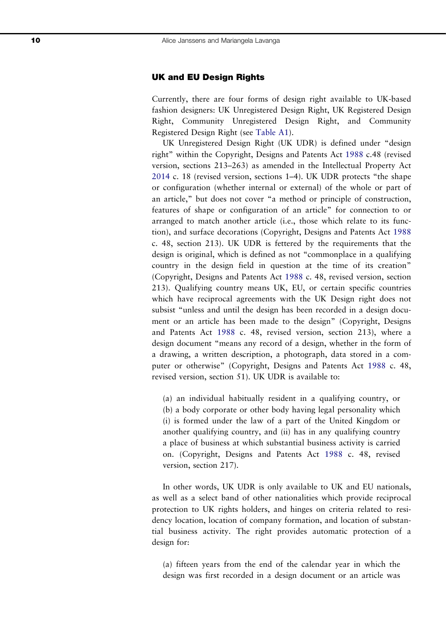## <span id="page-10-0"></span>UK and EU Design Rights

Currently, there are four forms of design right available to UK-based fashion designers: UK Unregistered Design Right, UK Registered Design Right, Community Unregistered Design Right, and Community Registered Design Right (see [Table A1\)](#page-31-0).

UK Unregistered Design Right (UK UDR) is defined under "design right" within the Copyright, Designs and Patents Act [1988](#page-26-0) c.48 (revised version, sections 213–263) as amended in the Intellectual Property Act [2014](#page-28-0) c. 18 (revised version, sections 1–4). UK UDR protects "the shape or configuration (whether internal or external) of the whole or part of an article," but does not cover "a method or principle of construction, features of shape or configuration of an article" for connection to or arranged to match another article (i.e., those which relate to its function), and surface decorations (Copyright, Designs and Patents Act [1988](#page-26-0) c. 48, section 213). UK UDR is fettered by the requirements that the design is original, which is defined as not "commonplace in a qualifying country in the design field in question at the time of its creation" (Copyright, Designs and Patents Act [1988](#page-26-0) c. 48, revised version, section 213). Qualifying country means UK, EU, or certain specific countries which have reciprocal agreements with the UK Design right does not subsist "unless and until the design has been recorded in a design document or an article has been made to the design" (Copyright, Designs and Patents Act [1988](#page-26-0) c. 48, revised version, section 213), where a design document "means any record of a design, whether in the form of a drawing, a written description, a photograph, data stored in a computer or otherwise" (Copyright, Designs and Patents Act [1988](#page-26-0) c. 48, revised version, section 51). UK UDR is available to:

(a) an individual habitually resident in a qualifying country, or (b) a body corporate or other body having legal personality which (i) is formed under the law of a part of the United Kingdom or another qualifying country, and (ii) has in any qualifying country a place of business at which substantial business activity is carried on. (Copyright, Designs and Patents Act [1988](#page-26-0) c. 48, revised version, section 217).

In other words, UK UDR is only available to UK and EU nationals, as well as a select band of other nationalities which provide reciprocal protection to UK rights holders, and hinges on criteria related to residency location, location of company formation, and location of substantial business activity. The right provides automatic protection of a design for:

(a) fifteen years from the end of the calendar year in which the design was first recorded in a design document or an article was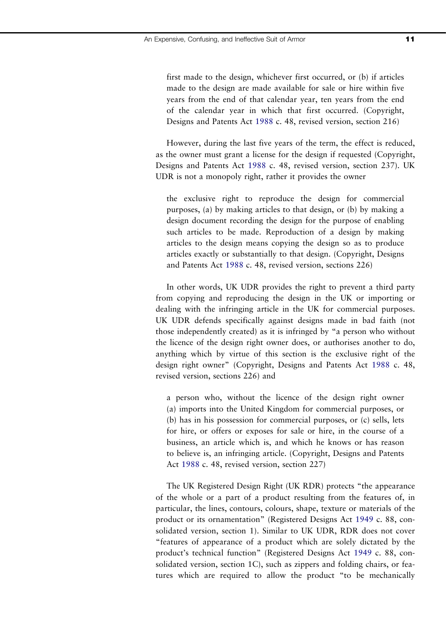<span id="page-11-0"></span>first made to the design, whichever first occurred, or (b) if articles made to the design are made available for sale or hire within five years from the end of that calendar year, ten years from the end of the calendar year in which that first occurred. (Copyright, Designs and Patents Act [1988](#page-26-0) c. 48, revised version, section 216)

However, during the last five years of the term, the effect is reduced, as the owner must grant a license for the design if requested (Copyright, Designs and Patents Act [1988](#page-26-0) c. 48, revised version, section 237). UK UDR is not a monopoly right, rather it provides the owner

the exclusive right to reproduce the design for commercial purposes, (a) by making articles to that design, or (b) by making a design document recording the design for the purpose of enabling such articles to be made. Reproduction of a design by making articles to the design means copying the design so as to produce articles exactly or substantially to that design. (Copyright, Designs and Patents Act [1988](#page-26-0) c. 48, revised version, sections 226)

In other words, UK UDR provides the right to prevent a third party from copying and reproducing the design in the UK or importing or dealing with the infringing article in the UK for commercial purposes. UK UDR defends specifically against designs made in bad faith (not those independently created) as it is infringed by "a person who without the licence of the design right owner does, or authorises another to do, anything which by virtue of this section is the exclusive right of the design right owner" (Copyright, Designs and Patents Act [1988](#page-26-0) c. 48, revised version, sections 226) and

a person who, without the licence of the design right owner (a) imports into the United Kingdom for commercial purposes, or (b) has in his possession for commercial purposes, or (c) sells, lets for hire, or offers or exposes for sale or hire, in the course of a business, an article which is, and which he knows or has reason to believe is, an infringing article. (Copyright, Designs and Patents Act [1988](#page-26-0) c. 48, revised version, section 227)

The UK Registered Design Right (UK RDR) protects "the appearance of the whole or a part of a product resulting from the features of, in particular, the lines, contours, colours, shape, texture or materials of the product or its ornamentation" (Registered Designs Act [1949](#page-29-0) c. 88, consolidated version, section 1). Similar to UK UDR, RDR does not cover "features of appearance of a product which are solely dictated by the product's technical function" (Registered Designs Act [1949](#page-29-0) c. 88, consolidated version, section 1C), such as zippers and folding chairs, or features which are required to allow the product "to be mechanically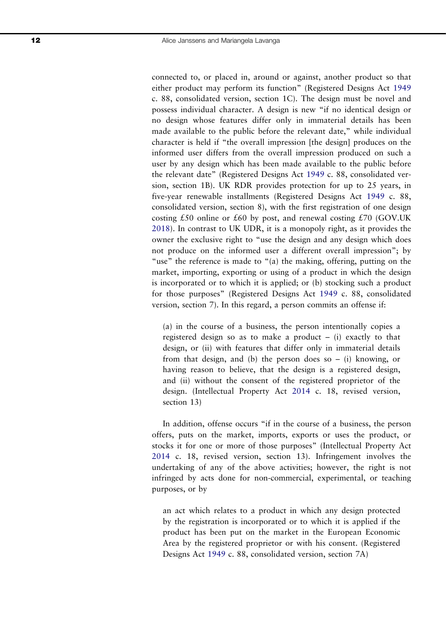<span id="page-12-0"></span>connected to, or placed in, around or against, another product so that either product may perform its function" (Registered Designs Act [1949](#page-29-0) c. 88, consolidated version, section 1C). The design must be novel and possess individual character. A design is new "if no identical design or no design whose features differ only in immaterial details has been made available to the public before the relevant date," while individual character is held if "the overall impression [the design] produces on the informed user differs from the overall impression produced on such a user by any design which has been made available to the public before the relevant date" (Registered Designs Act [1949](#page-29-0) c. 88, consolidated version, section 1B). UK RDR provides protection for up to 25 years, in five-year renewable installments (Registered Designs Act [1949](#page-29-0) c. 88, consolidated version, section 8), with the first registration of one design costing  $£50$  online or  $£60$  by post, and renewal costing  $£70$  (GOV.UK [2018](#page-27-0)). In contrast to UK UDR, it is a monopoly right, as it provides the owner the exclusive right to "use the design and any design which does not produce on the informed user a different overall impression"; by "use" the reference is made to "(a) the making, offering, putting on the market, importing, exporting or using of a product in which the design is incorporated or to which it is applied; or (b) stocking such a product for those purposes" (Registered Designs Act [1949](#page-29-0) c. 88, consolidated version, section 7). In this regard, a person commits an offense if:

(a) in the course of a business, the person intentionally copies a registered design so as to make a product – (i) exactly to that design, or (ii) with features that differ only in immaterial details from that design, and (b) the person does so  $-$  (i) knowing, or having reason to believe, that the design is a registered design, and (ii) without the consent of the registered proprietor of the design. (Intellectual Property Act [2014](#page-28-0) c. 18, revised version, section 13)

In addition, offense occurs "if in the course of a business, the person offers, puts on the market, imports, exports or uses the product, or stocks it for one or more of those purposes" (Intellectual Property Act [2014](#page-28-0) c. 18, revised version, section 13). Infringement involves the undertaking of any of the above activities; however, the right is not infringed by acts done for non-commercial, experimental, or teaching purposes, or by

an act which relates to a product in which any design protected by the registration is incorporated or to which it is applied if the product has been put on the market in the European Economic Area by the registered proprietor or with his consent. (Registered Designs Act [1949](#page-29-0) c. 88, consolidated version, section 7A)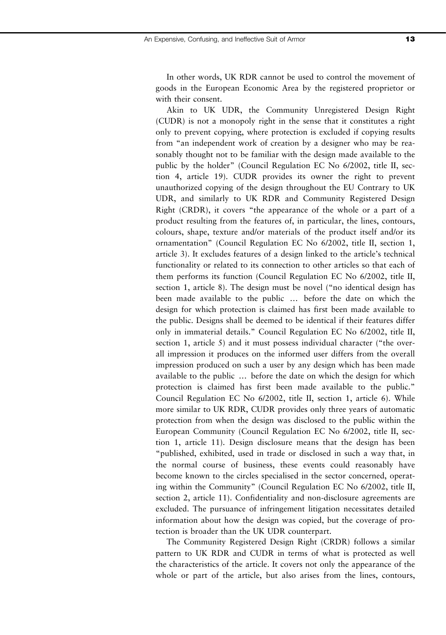In other words, UK RDR cannot be used to control the movement of goods in the European Economic Area by the registered proprietor or with their consent.

Akin to UK UDR, the Community Unregistered Design Right (CUDR) is not a monopoly right in the sense that it constitutes a right only to prevent copying, where protection is excluded if copying results from "an independent work of creation by a designer who may be reasonably thought not to be familiar with the design made available to the public by the holder" (Council Regulation EC No 6/2002, title II, section 4, article 19). CUDR provides its owner the right to prevent unauthorized copying of the design throughout the EU Contrary to UK UDR, and similarly to UK RDR and Community Registered Design Right (CRDR), it covers "the appearance of the whole or a part of a product resulting from the features of, in particular, the lines, contours, colours, shape, texture and/or materials of the product itself and/or its ornamentation" (Council Regulation EC No 6/2002, title II, section 1, article 3). It excludes features of a design linked to the article's technical functionality or related to its connection to other articles so that each of them performs its function (Council Regulation EC No 6/2002, title II, section 1, article 8). The design must be novel ("no identical design has been made available to the public … before the date on which the design for which protection is claimed has first been made available to the public. Designs shall be deemed to be identical if their features differ only in immaterial details." Council Regulation EC No 6/2002, title II, section 1, article 5) and it must possess individual character ("the overall impression it produces on the informed user differs from the overall impression produced on such a user by any design which has been made available to the public … before the date on which the design for which protection is claimed has first been made available to the public." Council Regulation EC No 6/2002, title II, section 1, article 6). While more similar to UK RDR, CUDR provides only three years of automatic protection from when the design was disclosed to the public within the European Community (Council Regulation EC No 6/2002, title II, section 1, article 11). Design disclosure means that the design has been "published, exhibited, used in trade or disclosed in such a way that, in the normal course of business, these events could reasonably have become known to the circles specialised in the sector concerned, operating within the Community" (Council Regulation EC No 6/2002, title II, section 2, article 11). Confidentiality and non-disclosure agreements are excluded. The pursuance of infringement litigation necessitates detailed information about how the design was copied, but the coverage of protection is broader than the UK UDR counterpart.

The Community Registered Design Right (CRDR) follows a similar pattern to UK RDR and CUDR in terms of what is protected as well the characteristics of the article. It covers not only the appearance of the whole or part of the article, but also arises from the lines, contours,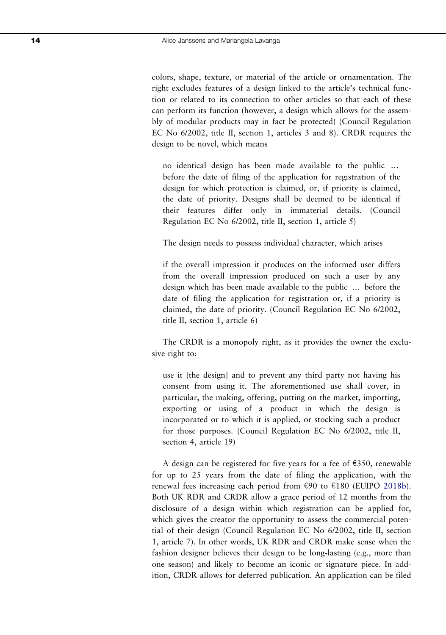<span id="page-14-0"></span>colors, shape, texture, or material of the article or ornamentation. The right excludes features of a design linked to the article's technical function or related to its connection to other articles so that each of these can perform its function (however, a design which allows for the assembly of modular products may in fact be protected) (Council Regulation EC No 6/2002, title II, section 1, articles 3 and 8). CRDR requires the design to be novel, which means

no identical design has been made available to the public … before the date of filing of the application for registration of the design for which protection is claimed, or, if priority is claimed, the date of priority. Designs shall be deemed to be identical if their features differ only in immaterial details. (Council Regulation EC No 6/2002, title II, section 1, article 5)

The design needs to possess individual character, which arises

if the overall impression it produces on the informed user differs from the overall impression produced on such a user by any design which has been made available to the public … before the date of filing the application for registration or, if a priority is claimed, the date of priority. (Council Regulation EC No 6/2002, title II, section 1, article 6)

The CRDR is a monopoly right, as it provides the owner the exclusive right to:

use it [the design] and to prevent any third party not having his consent from using it. The aforementioned use shall cover, in particular, the making, offering, putting on the market, importing, exporting or using of a product in which the design is incorporated or to which it is applied, or stocking such a product for those purposes. (Council Regulation EC No 6/2002, title II, section 4, article 19)

A design can be registered for five years for a fee of  $\epsilon$ 350, renewable for up to 25 years from the date of filing the application, with the renewal fees increasing each period from  $\epsilon$ 90 to  $\epsilon$ 180 (EUIPO [2018b](#page-27-0)). Both UK RDR and CRDR allow a grace period of 12 months from the disclosure of a design within which registration can be applied for, which gives the creator the opportunity to assess the commercial potential of their design (Council Regulation EC No 6/2002, title II, section 1, article 7). In other words, UK RDR and CRDR make sense when the fashion designer believes their design to be long-lasting (e.g., more than one season) and likely to become an iconic or signature piece. In addition, CRDR allows for deferred publication. An application can be filed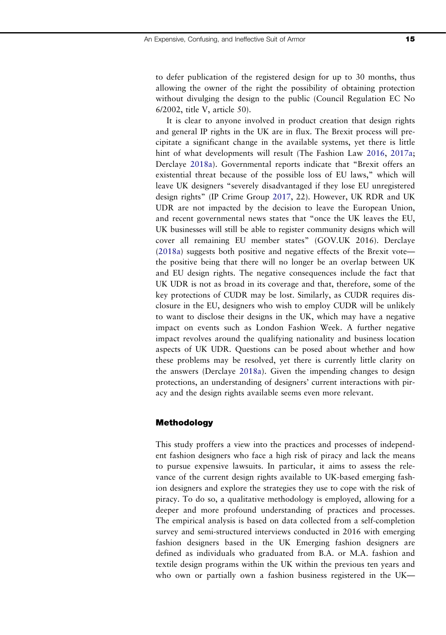<span id="page-15-0"></span>An Expensive, Confusing, and Ineffective Suit of Armor

to defer publication of the registered design for up to 30 months, thus allowing the owner of the right the possibility of obtaining protection without divulging the design to the public (Council Regulation EC No 6/2002, title V, article 50).

It is clear to anyone involved in product creation that design rights and general IP rights in the UK are in flux. The Brexit process will precipitate a significant change in the available systems, yet there is little hint of what developments will result (The Fashion Law [2016,](#page-29-0) [2017a;](#page-30-0) Derclaye [2018a](#page-27-0)). Governmental reports indicate that "Brexit offers an existential threat because of the possible loss of EU laws," which will leave UK designers "severely disadvantaged if they lose EU unregistered design rights" (IP Crime Group [2017,](#page-28-0) 22). However, UK RDR and UK UDR are not impacted by the decision to leave the European Union, and recent governmental news states that "once the UK leaves the EU, UK businesses will still be able to register community designs which will cover all remaining EU member states" (GOV.UK 2016). Derclaye [\(2018a\)](#page-27-0) suggests both positive and negative effects of the Brexit vote the positive being that there will no longer be an overlap between UK and EU design rights. The negative consequences include the fact that UK UDR is not as broad in its coverage and that, therefore, some of the key protections of CUDR may be lost. Similarly, as CUDR requires disclosure in the EU, designers who wish to employ CUDR will be unlikely to want to disclose their designs in the UK, which may have a negative impact on events such as London Fashion Week. A further negative impact revolves around the qualifying nationality and business location aspects of UK UDR. Questions can be posed about whether and how these problems may be resolved, yet there is currently little clarity on the answers (Derclaye [2018a](#page-27-0)). Given the impending changes to design protections, an understanding of designers' current interactions with piracy and the design rights available seems even more relevant.

# Methodology

This study proffers a view into the practices and processes of independent fashion designers who face a high risk of piracy and lack the means to pursue expensive lawsuits. In particular, it aims to assess the relevance of the current design rights available to UK-based emerging fashion designers and explore the strategies they use to cope with the risk of piracy. To do so, a qualitative methodology is employed, allowing for a deeper and more profound understanding of practices and processes. The empirical analysis is based on data collected from a self-completion survey and semi-structured interviews conducted in 2016 with emerging fashion designers based in the UK Emerging fashion designers are defined as individuals who graduated from B.A. or M.A. fashion and textile design programs within the UK within the previous ten years and who own or partially own a fashion business registered in the UK—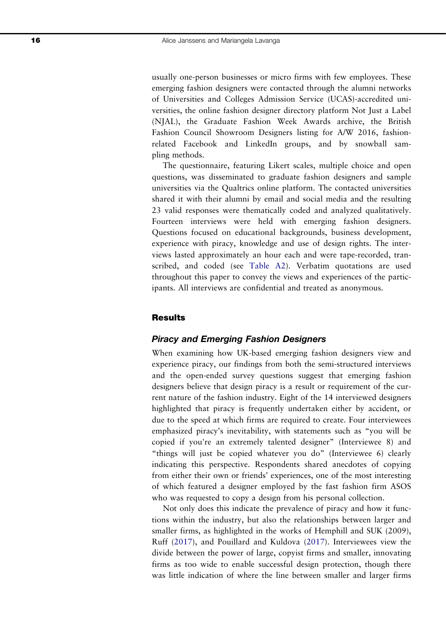usually one-person businesses or micro firms with few employees. These emerging fashion designers were contacted through the alumni networks of Universities and Colleges Admission Service (UCAS)-accredited universities, the online fashion designer directory platform Not Just a Label (NJAL), the Graduate Fashion Week Awards archive, the British Fashion Council Showroom Designers listing for A/W 2016, fashionrelated Facebook and LinkedIn groups, and by snowball sampling methods.

The questionnaire, featuring Likert scales, multiple choice and open questions, was disseminated to graduate fashion designers and sample universities via the Qualtrics online platform. The contacted universities shared it with their alumni by email and social media and the resulting 23 valid responses were thematically coded and analyzed qualitatively. Fourteen interviews were held with emerging fashion designers. Questions focused on educational backgrounds, business development, experience with piracy, knowledge and use of design rights. The interviews lasted approximately an hour each and were tape-recorded, transcribed, and coded (see [Table A2](#page-32-0)). Verbatim quotations are used throughout this paper to convey the views and experiences of the participants. All interviews are confidential and treated as anonymous.

# **Results**

## Piracy and Emerging Fashion Designers

When examining how UK-based emerging fashion designers view and experience piracy, our findings from both the semi-structured interviews and the open-ended survey questions suggest that emerging fashion designers believe that design piracy is a result or requirement of the current nature of the fashion industry. Eight of the 14 interviewed designers highlighted that piracy is frequently undertaken either by accident, or due to the speed at which firms are required to create. Four interviewees emphasized piracy's inevitability, with statements such as "you will be copied if you're an extremely talented designer" (Interviewee 8) and "things will just be copied whatever you do" (Interviewee 6) clearly indicating this perspective. Respondents shared anecdotes of copying from either their own or friends' experiences, one of the most interesting of which featured a designer employed by the fast fashion firm ASOS who was requested to copy a design from his personal collection.

Not only does this indicate the prevalence of piracy and how it functions within the industry, but also the relationships between larger and smaller firms, as highlighted in the works of Hemphill and SUK (2009), Ruff ([2017\)](#page-29-0), and Pouillard and Kuldova [\(2017](#page-29-0)). Interviewees view the divide between the power of large, copyist firms and smaller, innovating firms as too wide to enable successful design protection, though there was little indication of where the line between smaller and larger firms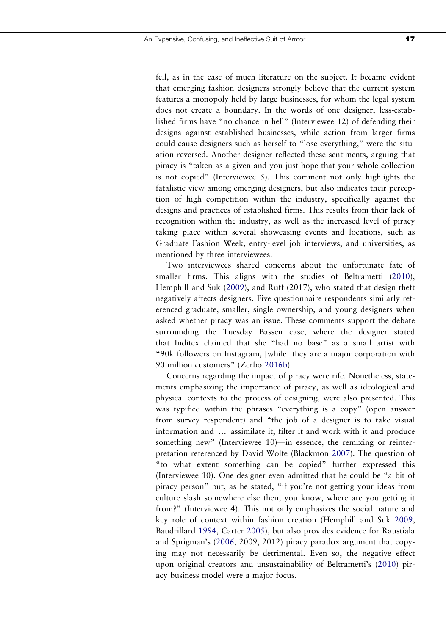<span id="page-17-0"></span>An Expensive, Confusing, and Ineffective Suit of Armor

fell, as in the case of much literature on the subject. It became evident that emerging fashion designers strongly believe that the current system features a monopoly held by large businesses, for whom the legal system does not create a boundary. In the words of one designer, less-established firms have "no chance in hell" (Interviewee 12) of defending their designs against established businesses, while action from larger firms could cause designers such as herself to "lose everything," were the situation reversed. Another designer reflected these sentiments, arguing that piracy is "taken as a given and you just hope that your whole collection is not copied" (Interviewee 5). This comment not only highlights the fatalistic view among emerging designers, but also indicates their perception of high competition within the industry, specifically against the designs and practices of established firms. This results from their lack of recognition within the industry, as well as the increased level of piracy taking place within several showcasing events and locations, such as Graduate Fashion Week, entry-level job interviews, and universities, as mentioned by three interviewees.

Two interviewees shared concerns about the unfortunate fate of smaller firms. This aligns with the studies of Beltrametti ([2010\)](#page-25-0), Hemphill and Suk [\(2009](#page-28-0)), and Ruff (2017), who stated that design theft negatively affects designers. Five questionnaire respondents similarly referenced graduate, smaller, single ownership, and young designers when asked whether piracy was an issue. These comments support the debate surrounding the Tuesday Bassen case, where the designer stated that Inditex claimed that she "had no base" as a small artist with "90k followers on Instagram, [while] they are a major corporation with 90 million customers" (Zerbo [2016b\)](#page-30-0).

Concerns regarding the impact of piracy were rife. Nonetheless, statements emphasizing the importance of piracy, as well as ideological and physical contexts to the process of designing, were also presented. This was typified within the phrases "everything is a copy" (open answer from survey respondent) and "the job of a designer is to take visual information and … assimilate it, filter it and work with it and produce something new" (Interviewee 10)—in essence, the remixing or reinterpretation referenced by David Wolfe (Blackmon [2007](#page-26-0)). The question of "to what extent something can be copied" further expressed this (Interviewee 10). One designer even admitted that he could be "a bit of piracy person" but, as he stated, "if you're not getting your ideas from culture slash somewhere else then, you know, where are you getting it from?" (Interviewee 4). This not only emphasizes the social nature and key role of context within fashion creation (Hemphill and Suk [2009,](#page-28-0) Baudrillard [1994](#page-25-0), Carter [2005\)](#page-26-0), but also provides evidence for Raustiala and Sprigman's [\(2006](#page-29-0), 2009, 2012) piracy paradox argument that copying may not necessarily be detrimental. Even so, the negative effect upon original creators and unsustainability of Beltrametti's [\(2010](#page-25-0)) piracy business model were a major focus.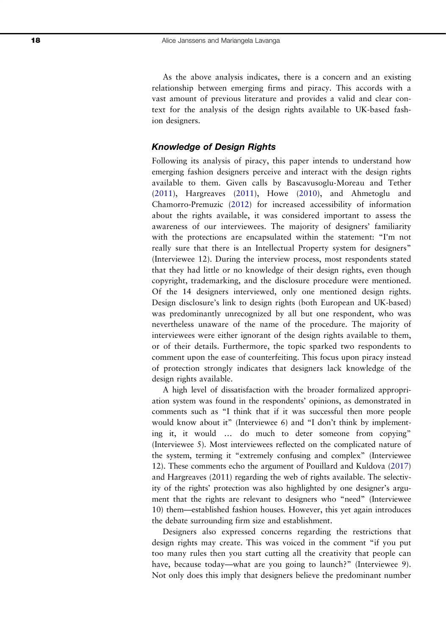As the above analysis indicates, there is a concern and an existing relationship between emerging firms and piracy. This accords with a vast amount of previous literature and provides a valid and clear context for the analysis of the design rights available to UK-based fashion designers.

# Knowledge of Design Rights

Following its analysis of piracy, this paper intends to understand how emerging fashion designers perceive and interact with the design rights available to them. Given calls by Bascavusoglu-Moreau and Tether [\(2011](#page-25-0)), Hargreaves [\(2011](#page-28-0)), Howe ([2010\)](#page-28-0), and Ahmetoglu and Chamorro-Premuzic ([2012\)](#page-25-0) for increased accessibility of information about the rights available, it was considered important to assess the awareness of our interviewees. The majority of designers' familiarity with the protections are encapsulated within the statement: "I'm not really sure that there is an Intellectual Property system for designers" (Interviewee 12). During the interview process, most respondents stated that they had little or no knowledge of their design rights, even though copyright, trademarking, and the disclosure procedure were mentioned. Of the 14 designers interviewed, only one mentioned design rights. Design disclosure's link to design rights (both European and UK-based) was predominantly unrecognized by all but one respondent, who was nevertheless unaware of the name of the procedure. The majority of interviewees were either ignorant of the design rights available to them, or of their details. Furthermore, the topic sparked two respondents to comment upon the ease of counterfeiting. This focus upon piracy instead of protection strongly indicates that designers lack knowledge of the design rights available.

A high level of dissatisfaction with the broader formalized appropriation system was found in the respondents' opinions, as demonstrated in comments such as "I think that if it was successful then more people would know about it" (Interviewee 6) and "I don't think by implementing it, it would … do much to deter someone from copying" (Interviewee 5). Most interviewees reflected on the complicated nature of the system, terming it "extremely confusing and complex" (Interviewee 12). These comments echo the argument of Pouillard and Kuldova [\(2017\)](#page-29-0) and Hargreaves (2011) regarding the web of rights available. The selectivity of the rights' protection was also highlighted by one designer's argument that the rights are relevant to designers who "need" (Interviewee 10) them—established fashion houses. However, this yet again introduces the debate surrounding firm size and establishment.

Designers also expressed concerns regarding the restrictions that design rights may create. This was voiced in the comment "if you put too many rules then you start cutting all the creativity that people can have, because today—what are you going to launch?" (Interviewee 9). Not only does this imply that designers believe the predominant number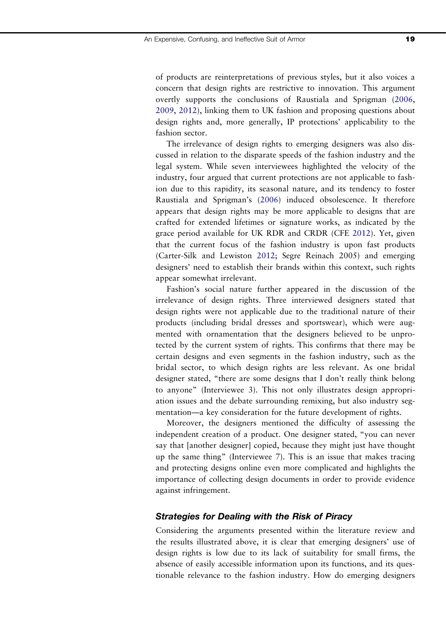<span id="page-19-0"></span>of products are reinterpretations of previous styles, but it also voices a concern that design rights are restrictive to innovation. This argument overtly supports the conclusions of Raustiala and Sprigman ([2006,](#page-29-0) [2009](#page-29-0), [2012\)](#page-29-0), linking them to UK fashion and proposing questions about design rights and, more generally, IP protections' applicability to the fashion sector.

The irrelevance of design rights to emerging designers was also discussed in relation to the disparate speeds of the fashion industry and the legal system. While seven interviewees highlighted the velocity of the industry, four argued that current protections are not applicable to fashion due to this rapidity, its seasonal nature, and its tendency to foster Raustiala and Sprigman's ([2006\)](#page-29-0) induced obsolescence. It therefore appears that design rights may be more applicable to designs that are crafted for extended lifetimes or signature works, as indicated by the grace period available for UK RDR and CRDR (CFE [2012](#page-26-0)). Yet, given that the current focus of the fashion industry is upon fast products (Carter-Silk and Lewiston [2012](#page-26-0); Segre Reinach 2005) and emerging designers' need to establish their brands within this context, such rights appear somewhat irrelevant.

Fashion's social nature further appeared in the discussion of the irrelevance of design rights. Three interviewed designers stated that design rights were not applicable due to the traditional nature of their products (including bridal dresses and sportswear), which were augmented with ornamentation that the designers believed to be unprotected by the current system of rights. This confirms that there may be certain designs and even segments in the fashion industry, such as the bridal sector, to which design rights are less relevant. As one bridal designer stated, "there are some designs that I don't really think belong to anyone" (Interviewee 3). This not only illustrates design appropriation issues and the debate surrounding remixing, but also industry segmentation—a key consideration for the future development of rights.

Moreover, the designers mentioned the difficulty of assessing the independent creation of a product. One designer stated, "you can never say that [another designer] copied, because they might just have thought up the same thing" (Interviewee 7). This is an issue that makes tracing and protecting designs online even more complicated and highlights the importance of collecting design documents in order to provide evidence against infringement.

# Strategies for Dealing with the Risk of Piracy

Considering the arguments presented within the literature review and the results illustrated above, it is clear that emerging designers' use of design rights is low due to its lack of suitability for small firms, the absence of easily accessible information upon its functions, and its questionable relevance to the fashion industry. How do emerging designers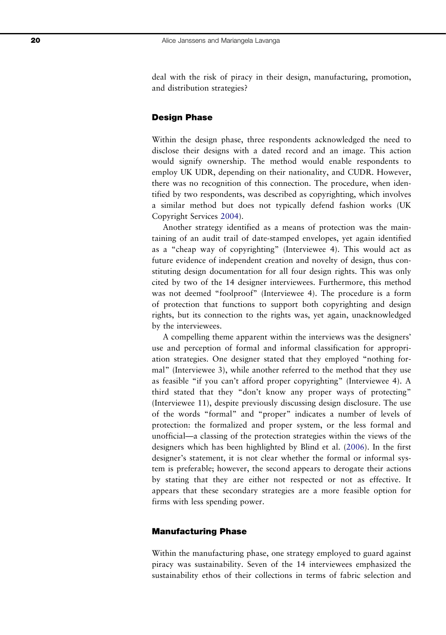<span id="page-20-0"></span>deal with the risk of piracy in their design, manufacturing, promotion, and distribution strategies?

# Design Phase

Within the design phase, three respondents acknowledged the need to disclose their designs with a dated record and an image. This action would signify ownership. The method would enable respondents to employ UK UDR, depending on their nationality, and CUDR. However, there was no recognition of this connection. The procedure, when identified by two respondents, was described as copyrighting, which involves a similar method but does not typically defend fashion works (UK Copyright Services [2004](#page-30-0)).

Another strategy identified as a means of protection was the maintaining of an audit trail of date-stamped envelopes, yet again identified as a "cheap way of copyrighting" (Interviewee 4). This would act as future evidence of independent creation and novelty of design, thus constituting design documentation for all four design rights. This was only cited by two of the 14 designer interviewees. Furthermore, this method was not deemed "foolproof" (Interviewee 4). The procedure is a form of protection that functions to support both copyrighting and design rights, but its connection to the rights was, yet again, unacknowledged by the interviewees.

A compelling theme apparent within the interviews was the designers' use and perception of formal and informal classification for appropriation strategies. One designer stated that they employed "nothing formal" (Interviewee 3), while another referred to the method that they use as feasible "if you can't afford proper copyrighting" (Interviewee 4). A third stated that they "don't know any proper ways of protecting" (Interviewee 11), despite previously discussing design disclosure. The use of the words "formal" and "proper" indicates a number of levels of protection: the formalized and proper system, or the less formal and unofficial—a classing of the protection strategies within the views of the designers which has been highlighted by Blind et al. [\(2006](#page-26-0)). In the first designer's statement, it is not clear whether the formal or informal system is preferable; however, the second appears to derogate their actions by stating that they are either not respected or not as effective. It appears that these secondary strategies are a more feasible option for firms with less spending power.

#### Manufacturing Phase

Within the manufacturing phase, one strategy employed to guard against piracy was sustainability. Seven of the 14 interviewees emphasized the sustainability ethos of their collections in terms of fabric selection and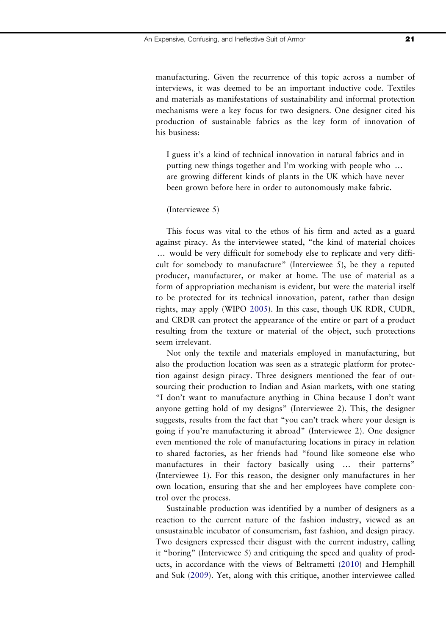<span id="page-21-0"></span>manufacturing. Given the recurrence of this topic across a number of interviews, it was deemed to be an important inductive code. Textiles and materials as manifestations of sustainability and informal protection mechanisms were a key focus for two designers. One designer cited his production of sustainable fabrics as the key form of innovation of his business:

I guess it's a kind of technical innovation in natural fabrics and in putting new things together and I'm working with people who … are growing different kinds of plants in the UK which have never been grown before here in order to autonomously make fabric.

#### (Interviewee 5)

This focus was vital to the ethos of his firm and acted as a guard against piracy. As the interviewee stated, "the kind of material choices … would be very difficult for somebody else to replicate and very difficult for somebody to manufacture" (Interviewee 5), be they a reputed producer, manufacturer, or maker at home. The use of material as a form of appropriation mechanism is evident, but were the material itself to be protected for its technical innovation, patent, rather than design rights, may apply (WIPO [2005\)](#page-30-0). In this case, though UK RDR, CUDR, and CRDR can protect the appearance of the entire or part of a product resulting from the texture or material of the object, such protections seem irrelevant.

Not only the textile and materials employed in manufacturing, but also the production location was seen as a strategic platform for protection against design piracy. Three designers mentioned the fear of outsourcing their production to Indian and Asian markets, with one stating "I don't want to manufacture anything in China because I don't want anyone getting hold of my designs" (Interviewee 2). This, the designer suggests, results from the fact that "you can't track where your design is going if you're manufacturing it abroad" (Interviewee 2). One designer even mentioned the role of manufacturing locations in piracy in relation to shared factories, as her friends had "found like someone else who manufactures in their factory basically using … their patterns" (Interviewee 1). For this reason, the designer only manufactures in her own location, ensuring that she and her employees have complete control over the process.

Sustainable production was identified by a number of designers as a reaction to the current nature of the fashion industry, viewed as an unsustainable incubator of consumerism, fast fashion, and design piracy. Two designers expressed their disgust with the current industry, calling it "boring" (Interviewee 5) and critiquing the speed and quality of products, in accordance with the views of Beltrametti [\(2010](#page-25-0)) and Hemphill and Suk ([2009\)](#page-28-0). Yet, along with this critique, another interviewee called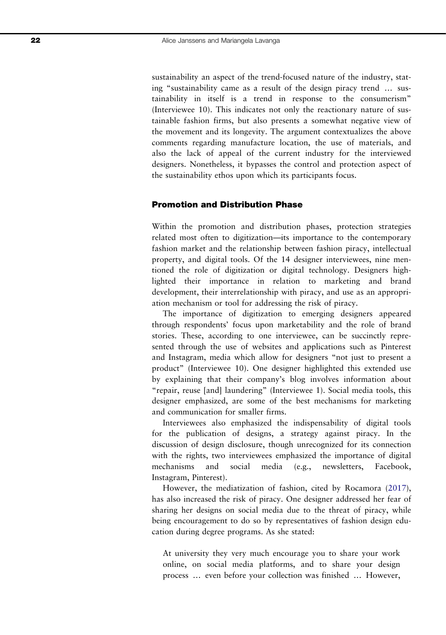sustainability an aspect of the trend-focused nature of the industry, stating "sustainability came as a result of the design piracy trend … sustainability in itself is a trend in response to the consumerism" (Interviewee 10). This indicates not only the reactionary nature of sustainable fashion firms, but also presents a somewhat negative view of the movement and its longevity. The argument contextualizes the above comments regarding manufacture location, the use of materials, and also the lack of appeal of the current industry for the interviewed designers. Nonetheless, it bypasses the control and protection aspect of the sustainability ethos upon which its participants focus.

#### Promotion and Distribution Phase

Within the promotion and distribution phases, protection strategies related most often to digitization—its importance to the contemporary fashion market and the relationship between fashion piracy, intellectual property, and digital tools. Of the 14 designer interviewees, nine mentioned the role of digitization or digital technology. Designers highlighted their importance in relation to marketing and brand development, their interrelationship with piracy, and use as an appropriation mechanism or tool for addressing the risk of piracy.

The importance of digitization to emerging designers appeared through respondents' focus upon marketability and the role of brand stories. These, according to one interviewee, can be succinctly represented through the use of websites and applications such as Pinterest and Instagram, media which allow for designers "not just to present a product" (Interviewee 10). One designer highlighted this extended use by explaining that their company's blog involves information about "repair, reuse [and] laundering" (Interviewee 1). Social media tools, this designer emphasized, are some of the best mechanisms for marketing and communication for smaller firms.

Interviewees also emphasized the indispensability of digital tools for the publication of designs, a strategy against piracy. In the discussion of design disclosure, though unrecognized for its connection with the rights, two interviewees emphasized the importance of digital mechanisms and social media (e.g., newsletters, Facebook, Instagram, Pinterest).

However, the mediatization of fashion, cited by Rocamora [\(2017](#page-29-0)), has also increased the risk of piracy. One designer addressed her fear of sharing her designs on social media due to the threat of piracy, while being encouragement to do so by representatives of fashion design education during degree programs. As she stated:

At university they very much encourage you to share your work online, on social media platforms, and to share your design process … even before your collection was finished … However,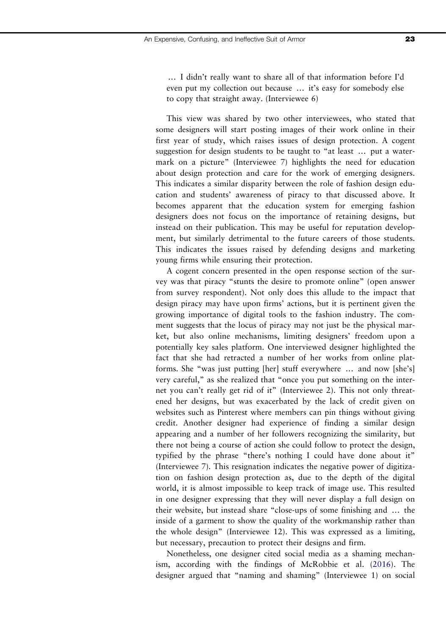… I didn't really want to share all of that information before I'd even put my collection out because … it's easy for somebody else to copy that straight away. (Interviewee 6)

This view was shared by two other interviewees, who stated that some designers will start posting images of their work online in their first year of study, which raises issues of design protection. A cogent suggestion for design students to be taught to "at least … put a watermark on a picture" (Interviewee 7) highlights the need for education about design protection and care for the work of emerging designers. This indicates a similar disparity between the role of fashion design education and students' awareness of piracy to that discussed above. It becomes apparent that the education system for emerging fashion designers does not focus on the importance of retaining designs, but instead on their publication. This may be useful for reputation development, but similarly detrimental to the future careers of those students. This indicates the issues raised by defending designs and marketing young firms while ensuring their protection.

A cogent concern presented in the open response section of the survey was that piracy "stunts the desire to promote online" (open answer from survey respondent). Not only does this allude to the impact that design piracy may have upon firms' actions, but it is pertinent given the growing importance of digital tools to the fashion industry. The comment suggests that the locus of piracy may not just be the physical market, but also online mechanisms, limiting designers' freedom upon a potentially key sales platform. One interviewed designer highlighted the fact that she had retracted a number of her works from online platforms. She "was just putting [her] stuff everywhere … and now [she's] very careful," as she realized that "once you put something on the internet you can't really get rid of it" (Interviewee 2). This not only threatened her designs, but was exacerbated by the lack of credit given on websites such as Pinterest where members can pin things without giving credit. Another designer had experience of finding a similar design appearing and a number of her followers recognizing the similarity, but there not being a course of action she could follow to protect the design, typified by the phrase "there's nothing I could have done about it" (Interviewee 7). This resignation indicates the negative power of digitization on fashion design protection as, due to the depth of the digital world, it is almost impossible to keep track of image use. This resulted in one designer expressing that they will never display a full design on their website, but instead share "close-ups of some finishing and … the inside of a garment to show the quality of the workmanship rather than the whole design" (Interviewee 12). This was expressed as a limiting, but necessary, precaution to protect their designs and firm.

Nonetheless, one designer cited social media as a shaming mechanism, according with the findings of McRobbie et al. [\(2016](#page-28-0)). The designer argued that "naming and shaming" (Interviewee 1) on social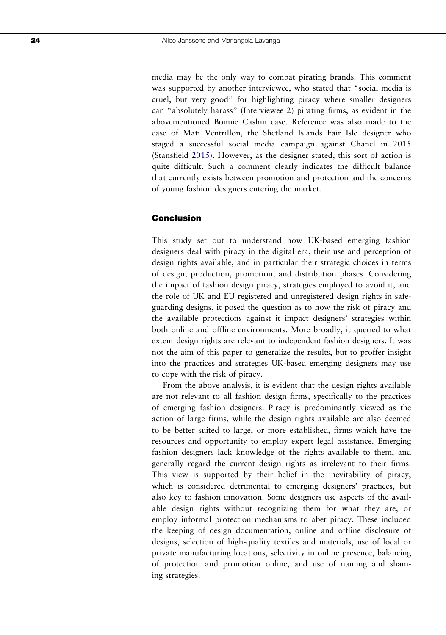<span id="page-24-0"></span>media may be the only way to combat pirating brands. This comment was supported by another interviewee, who stated that "social media is cruel, but very good" for highlighting piracy where smaller designers can "absolutely harass" (Interviewee 2) pirating firms, as evident in the abovementioned Bonnie Cashin case. Reference was also made to the case of Mati Ventrillon, the Shetland Islands Fair Isle designer who staged a successful social media campaign against Chanel in 2015 (Stansfield [2015](#page-29-0)). However, as the designer stated, this sort of action is quite difficult. Such a comment clearly indicates the difficult balance that currently exists between promotion and protection and the concerns of young fashion designers entering the market.

# Conclusion

This study set out to understand how UK-based emerging fashion designers deal with piracy in the digital era, their use and perception of design rights available, and in particular their strategic choices in terms of design, production, promotion, and distribution phases. Considering the impact of fashion design piracy, strategies employed to avoid it, and the role of UK and EU registered and unregistered design rights in safeguarding designs, it posed the question as to how the risk of piracy and the available protections against it impact designers' strategies within both online and offline environments. More broadly, it queried to what extent design rights are relevant to independent fashion designers. It was not the aim of this paper to generalize the results, but to proffer insight into the practices and strategies UK-based emerging designers may use to cope with the risk of piracy.

From the above analysis, it is evident that the design rights available are not relevant to all fashion design firms, specifically to the practices of emerging fashion designers. Piracy is predominantly viewed as the action of large firms, while the design rights available are also deemed to be better suited to large, or more established, firms which have the resources and opportunity to employ expert legal assistance. Emerging fashion designers lack knowledge of the rights available to them, and generally regard the current design rights as irrelevant to their firms. This view is supported by their belief in the inevitability of piracy, which is considered detrimental to emerging designers' practices, but also key to fashion innovation. Some designers use aspects of the available design rights without recognizing them for what they are, or employ informal protection mechanisms to abet piracy. These included the keeping of design documentation, online and offline disclosure of designs, selection of high-quality textiles and materials, use of local or private manufacturing locations, selectivity in online presence, balancing of protection and promotion online, and use of naming and shaming strategies.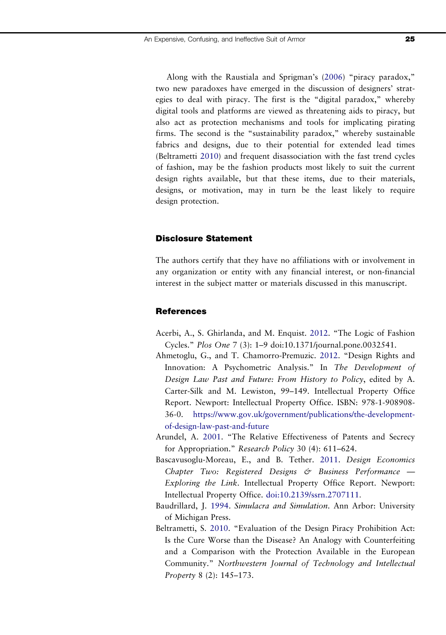<span id="page-25-0"></span>Along with the Raustiala and Sprigman's ([2006\)](#page-29-0) "piracy paradox," two new paradoxes have emerged in the discussion of designers' strategies to deal with piracy. The first is the "digital paradox," whereby digital tools and platforms are viewed as threatening aids to piracy, but also act as protection mechanisms and tools for implicating pirating firms. The second is the "sustainability paradox," whereby sustainable fabrics and designs, due to their potential for extended lead times (Beltrametti 2010) and frequent disassociation with the fast trend cycles of fashion, may be the fashion products most likely to suit the current design rights available, but that these items, due to their materials, designs, or motivation, may in turn be the least likely to require design protection.

#### Disclosure Statement

The authors certify that they have no affiliations with or involvement in any organization or entity with any financial interest, or non-financial interest in the subject matter or materials discussed in this manuscript.

# **References**

- Acerbi, A., S. Ghirlanda, and M. Enquist. [2012.](#page-6-0) "The Logic of Fashion Cycles." Plos One 7 (3): 1–9 doi:10.1371/journal.pone.0032541.
- Ahmetoglu, G., and T. Chamorro-Premuzic. [2012.](#page-8-0) "Design Rights and Innovation: A Psychometric Analysis." In The Development of Design Law Past and Future: From History to Policy, edited by A. Carter-Silk and M. Lewiston, 99–149. Intellectual Property Office Report. Newport: Intellectual Property Office. ISBN: 978-1-908908- 36-0. [https://www.gov.uk/government/publications/the-development](https://www.gov.uk/government/publications/the-development-of-design-law-past-and-future)[of-design-law-past-and-future](https://www.gov.uk/government/publications/the-development-of-design-law-past-and-future)
- Arundel, A. [2001.](#page-7-0) "The Relative Effectiveness of Patents and Secrecy for Appropriation." Research Policy 30 (4): 611–624.
- Bascavusoglu-Moreau, E., and B. Tether. [2011](#page-8-0). Design Economics Chapter Two: Registered Designs  $\mathfrak{G}$  Business Performance — Exploring the Link. Intellectual Property Office Report. Newport: Intellectual Property Office. [doi:10.2139/ssrn.2707111](http://doi:10.2139/ssrn.2707111).
- Baudrillard, J. [1994.](#page-5-0) Simulacra and Simulation. Ann Arbor: University of Michigan Press.
- Beltrametti, S. [2010](#page-4-0). "Evaluation of the Design Piracy Prohibition Act: Is the Cure Worse than the Disease? An Analogy with Counterfeiting and a Comparison with the Protection Available in the European Community." Northwestern Journal of Technology and Intellectual Property 8 (2): 145–173.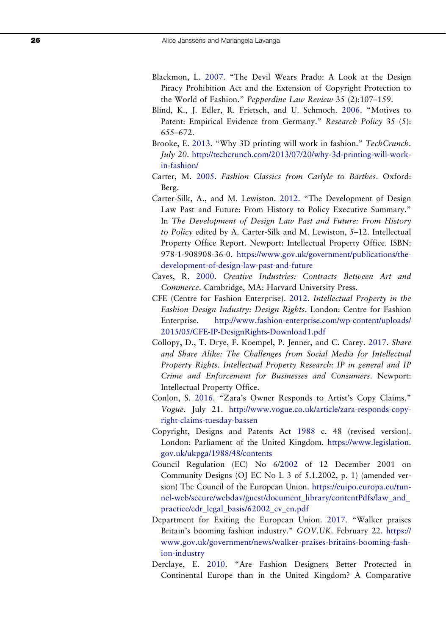- <span id="page-26-0"></span>Blackmon, L. [2007.](#page-5-0) "The Devil Wears Prado: A Look at the Design Piracy Prohibition Act and the Extension of Copyright Protection to the World of Fashion." Pepperdine Law Review 35 (2):107–159.
- Blind, K., J. Edler, R. Frietsch, and U. Schmoch. [2006](#page-7-0). "Motives to Patent: Empirical Evidence from Germany." Research Policy 35 (5): 655–672.
- Brooke, E. [2013.](#page-6-0) "Why 3D printing will work in fashion." TechCrunch. July 20. [http://techcrunch.com/2013/07/20/why-3d-printing-will-work](http://techcrunch.com/2013/07/20/why-3d-printing-will-work-in-fashion/)[in-fashion/](http://techcrunch.com/2013/07/20/why-3d-printing-will-work-in-fashion/)
- Carter, M. [2005](#page-5-0). Fashion Classics from Carlyle to Barthes. Oxford: Berg.
- Carter-Silk, A., and M. Lewiston. [2012.](#page-3-0) "The Development of Design Law Past and Future: From History to Policy Executive Summary." In The Development of Design Law Past and Future: From History to Policy edited by A. Carter-Silk and M. Lewiston, 5–12. Intellectual Property Office Report. Newport: Intellectual Property Office. ISBN: 978-1-908908-36-0. [https://www.gov.uk/government/publications/the](https://www.gov.uk/government/publications/the-development-of-design-law-past-and-future)[development-of-design-law-past-and-future](https://www.gov.uk/government/publications/the-development-of-design-law-past-and-future)
- Caves, R. [2000](#page-3-0). Creative Industries: Contracts Between Art and Commerce. Cambridge, MA: Harvard University Press.
- CFE (Centre for Fashion Enterprise). [2012](#page-3-0). Intellectual Property in the Fashion Design Industry: Design Rights. London: Centre for Fashion Enterprise. [http://www.fashion-enterprise.com/wp-content/uploads/](http://www.fashion-enterprise.com/wp-content/uploads/2015/05/CFE-IP-DesignRights-Download1.pdf) [2015/05/CFE-IP-DesignRights-Download1.pdf](http://www.fashion-enterprise.com/wp-content/uploads/2015/05/CFE-IP-DesignRights-Download1.pdf)
- Collopy, D., T. Drye, F. Koempel, P. Jenner, and C. Carey. [2017.](#page-6-0) Share and Share Alike: The Challenges from Social Media for Intellectual Property Rights. Intellectual Property Research: IP in general and IP Crime and Enforcement for Businesses and Consumers. Newport: Intellectual Property Office.
- Conlon, S. [2016.](#page-7-0) "Zara's Owner Responds to Artist's Copy Claims." Vogue. July 21. [http://www.vogue.co.uk/article/zara-responds-copy](http://www.vogue.co.uk/article/zara-responds-copyright-claims-tuesday-bassen)[right-claims-tuesday-bassen](http://www.vogue.co.uk/article/zara-responds-copyright-claims-tuesday-bassen)
- Copyright, Designs and Patents Act [1988](#page-10-0) c. 48 (revised version). London: Parliament of the United Kingdom. [https://www.legislation.](https://www.legislation.gov.uk/ukpga/1988/48/contents) [gov.uk/ukpga/1988/48/contents](https://www.legislation.gov.uk/ukpga/1988/48/contents)
- Council Regulation (EC) No 6/2002 of 12 December 2001 on Community Designs (OJ EC No L 3 of 5.1.2002, p. 1) (amended version) The Council of the European Union. [https://euipo.europa.eu/tun](https://euipo.europa.eu/tunnel-web/secure/webdav/guest/document_library/contentPdfs/law_and_practice/cdr_legal_basis/62002_cv_en.pdf)[nel-web/secure/webdav/guest/document\\_library/contentPdfs/law\\_and\\_](https://euipo.europa.eu/tunnel-web/secure/webdav/guest/document_library/contentPdfs/law_and_practice/cdr_legal_basis/62002_cv_en.pdf) [practice/cdr\\_legal\\_basis/62002\\_cv\\_en.pdf](https://euipo.europa.eu/tunnel-web/secure/webdav/guest/document_library/contentPdfs/law_and_practice/cdr_legal_basis/62002_cv_en.pdf)
- Department for Exiting the European Union. [2017.](#page-2-0) "Walker praises Britain's booming fashion industry." GOV.UK. February 22. [https://](https://www.gov.uk/government/news/walker-praises-britains-booming-fashion-industry) [www.gov.uk/government/news/walker-praises-britains-booming-fash](https://www.gov.uk/government/news/walker-praises-britains-booming-fashion-industry)[ion-industry](https://www.gov.uk/government/news/walker-praises-britains-booming-fashion-industry)
- Derclaye, E. [2010](#page-3-0). "Are Fashion Designers Better Protected in Continental Europe than in the United Kingdom? A Comparative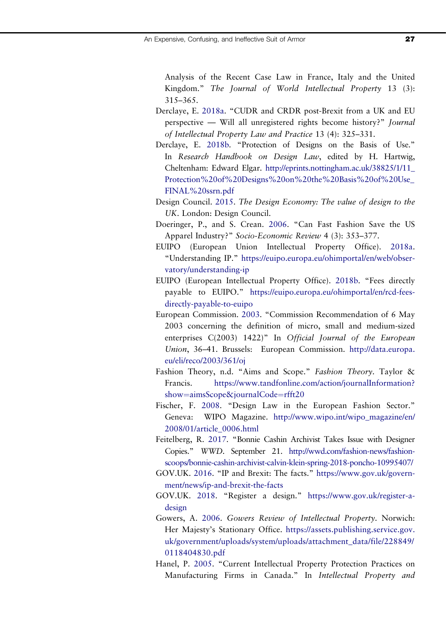<span id="page-27-0"></span>Analysis of the Recent Case Law in France, Italy and the United Kingdom." The Journal of World Intellectual Property 13 (3): 315–365.

- Derclaye, E. [2018a](#page-8-0). "CUDR and CRDR post-Brexit from a UK and EU perspective — Will all unregistered rights become history?" Journal of Intellectual Property Law and Practice 13 (4): 325–331.
- Derclaye, E. [2018b](#page-8-0). "Protection of Designs on the Basis of Use." In Research Handbook on Design Law, edited by H. Hartwig, Cheltenham: Edward Elgar. [http://eprints.nottingham.ac.uk/38825/1/11\\_](http://eprints.nottingham.ac.uk/38825/1/11_Protection%20of%20Designs%20on%20the%20Basis%20of%20Use_FINAL%20ssrn.pdf) [Protection%20of%20Designs%20on%20the%20Basis%20of%20Use\\_](http://eprints.nottingham.ac.uk/38825/1/11_Protection%20of%20Designs%20on%20the%20Basis%20of%20Use_FINAL%20ssrn.pdf) [FINAL%20ssrn.pdf](http://eprints.nottingham.ac.uk/38825/1/11_Protection%20of%20Designs%20on%20the%20Basis%20of%20Use_FINAL%20ssrn.pdf)
- Design Council. 2015. The Design Economy: The value of design to the UK. London: Design Council.
- Doeringer, P., and S. Crean. [2006](#page-6-0). "Can Fast Fashion Save the US Apparel Industry?" Socio-Economic Review 4 (3): 353–377.
- EUIPO (European Union Intellectual Property Office). [2018a.](#page-7-0) "Understanding IP." [https://euipo.europa.eu/ohimportal/en/web/obser](https://euipo.europa.eu/ohimportal/en/web/observatory/understanding-ip)[vatory/understanding-ip](https://euipo.europa.eu/ohimportal/en/web/observatory/understanding-ip)
- EUIPO (European Intellectual Property Office). [2018b](#page-14-0). "Fees directly payable to EUIPO." [https://euipo.europa.eu/ohimportal/en/rcd-fees](https://euipo.europa.eu/ohimportal/en/rcd-fees-directly-payable-to-euipo)[directly-payable-to-euipo](https://euipo.europa.eu/ohimportal/en/rcd-fees-directly-payable-to-euipo)
- European Commission. [2003](#page-4-0). "Commission Recommendation of 6 May 2003 concerning the definition of micro, small and medium-sized enterprises C(2003) 1422)" In Official Journal of the European Union, 36–41. Brussels: European Commission. [http://data.europa.](http://data.europa.eu/eli/reco/2003/361/oj) [eu/eli/reco/2003/361/oj](http://data.europa.eu/eli/reco/2003/361/oj)
- Fashion Theory, n.d. "Aims and Scope." Fashion Theory. Taylor & Francis. [https://www.tandfonline.com/action/journalInformation?](https://www.tandfonline.com/action/journalInformation?show=aimsScope&journalCode=rfft20) show=[aimsScope&journalCode](https://www.tandfonline.com/action/journalInformation?show=aimsScope&journalCode=rfft20)=rfft20
- Fischer, F. [2008](#page-6-0). "Design Law in the European Fashion Sector." Geneva: WIPO Magazine. [http://www.wipo.int/wipo\\_magazine/en/](http://www.wipo.int/wipo_magazine/en/2008/01/article_0006.html) [2008/01/article\\_0006.html](http://www.wipo.int/wipo_magazine/en/2008/01/article_0006.html)
- Feitelberg, R. [2017](#page-7-0). "Bonnie Cashin Archivist Takes Issue with Designer Copies." WWD. September 21. [http://wwd.com/fashion-news/fashion](http://wwd.com/fashion-news/fashion-scoops/bonnie-cashin-archivist-calvin-klein-spring-2018-poncho-10995407/)[scoops/bonnie-cashin-archivist-calvin-klein-spring-2018-poncho-10995407/](http://wwd.com/fashion-news/fashion-scoops/bonnie-cashin-archivist-calvin-klein-spring-2018-poncho-10995407/)
- GOV.UK. 2016. "IP and Brexit: The facts." [https://www.gov.uk/govern](https://www.gov.uk/government/news/ip-and-brexit-the-facts)[ment/news/ip-and-brexit-the-facts](https://www.gov.uk/government/news/ip-and-brexit-the-facts)
- GOV.UK. [2018](#page-12-0). "Register a design." [https://www.gov.uk/register-a](https://www.gov.uk/register-a-design)[design](https://www.gov.uk/register-a-design)
- Gowers, A. [2006.](#page-9-0) Gowers Review of Intellectual Property. Norwich: Her Majesty's Stationary Office. [https://assets.publishing.service.gov.](https://assets.publishing.service.gov.uk/government/uploads/system/uploads/attachment_data/file/228849/0118404830.pdf) [uk/government/uploads/system/uploads/attachment\\_data/file/228849/](https://assets.publishing.service.gov.uk/government/uploads/system/uploads/attachment_data/file/228849/0118404830.pdf) [0118404830.pdf](https://assets.publishing.service.gov.uk/government/uploads/system/uploads/attachment_data/file/228849/0118404830.pdf)
- Hanel, P. [2005.](#page-8-0) "Current Intellectual Property Protection Practices on Manufacturing Firms in Canada." In Intellectual Property and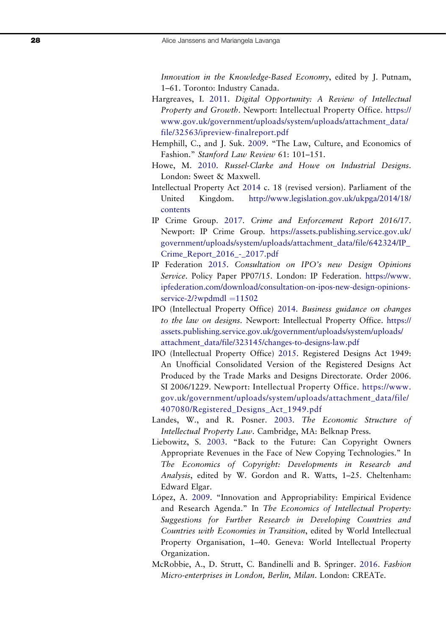<span id="page-28-0"></span>Innovation in the Knowledge-Based Economy, edited by J. Putnam, 1–61. Toronto: Industry Canada.

- Hargreaves, I. [2011.](#page-8-0) Digital Opportunity: A Review of Intellectual Property and Growth. Newport: Intellectual Property Office. [https://](https://www.gov.uk/government/uploads/system/uploads/attachment_data/file/32563/ipreview-finalreport.pdf) [www.gov.uk/government/uploads/system/uploads/attachment\\_data/](https://www.gov.uk/government/uploads/system/uploads/attachment_data/file/32563/ipreview-finalreport.pdf) [file/32563/ipreview-finalreport.pdf](https://www.gov.uk/government/uploads/system/uploads/attachment_data/file/32563/ipreview-finalreport.pdf)
- Hemphill, C., and J. Suk. [2009](#page-5-0). "The Law, Culture, and Economics of Fashion." Stanford Law Review 61: 101–151.
- Howe, M. [2010](#page-8-0). Russel-Clarke and Howe on Industrial Designs. London: Sweet & Maxwell.
- Intellectual Property Act [2014](#page-10-0) c. 18 (revised version). Parliament of the United Kingdom. [http://www.legislation.gov.uk/ukpga/2014/18/](http://www.legislation.gov.uk/ukpga/2014/18/contents) [contents](http://www.legislation.gov.uk/ukpga/2014/18/contents)
- IP Crime Group. [2017](#page-7-0). Crime and Enforcement Report 2016/17. Newport: IP Crime Group. [https://assets.publishing.service.gov.uk/](https://assets.publishing.service.gov.uk/government/uploads/system/uploads/attachment_data/file/642324/IP_Crime_Report_2016_-_2017.pdf) [government/uploads/system/uploads/attachment\\_data/file/642324/IP\\_](https://assets.publishing.service.gov.uk/government/uploads/system/uploads/attachment_data/file/642324/IP_Crime_Report_2016_-_2017.pdf) Crime\_Report\_2016 - 2017.pdf
- IP Federation [2015.](#page-9-0) Consultation on IPO's new Design Opinions Service. Policy Paper PP07/15. London: IP Federation. [https://www.](https://www.ipfederation.com/download/consultation-on-ipos-new-design-opinions-service-2/?wpdmdl =11502) [ipfederation.com/download/consultation-on-ipos-new-design-opinions](https://www.ipfederation.com/download/consultation-on-ipos-new-design-opinions-service-2/?wpdmdl =11502)[service-2/?wpdmdl](https://www.ipfederation.com/download/consultation-on-ipos-new-design-opinions-service-2/?wpdmdl =11502)  $=11502$
- IPO (Intellectual Property Office) [2014](#page-9-0). Business guidance on changes to the law on designs. Newport: Intellectual Property Office. [https://](https://assets.publishing.service.gov.uk/government/uploads/system/uploads/attachment_data/file/323145/changes-to-designs-law.pdf) [assets.publishing.service.gov.uk/government/uploads/system/uploads/](https://assets.publishing.service.gov.uk/government/uploads/system/uploads/attachment_data/file/323145/changes-to-designs-law.pdf) [attachment\\_data/file/323145/changes-to-designs-law.pdf](https://assets.publishing.service.gov.uk/government/uploads/system/uploads/attachment_data/file/323145/changes-to-designs-law.pdf)
- IPO (Intellectual Property Office) [2015](#page-4-0). Registered Designs Act 1949: An Unofficial Consolidated Version of the Registered Designs Act Produced by the Trade Marks and Designs Directorate. Order 2006. SI 2006/1229. Newport: Intellectual Property Office. [https://www.](https://www.gov.uk/government/uploads/system/uploads/attachment_data/file/407080/Registered_Designs_Act_1949.pdf) [gov.uk/government/uploads/system/uploads/attachment\\_data/file/](https://www.gov.uk/government/uploads/system/uploads/attachment_data/file/407080/Registered_Designs_Act_1949.pdf) [407080/Registered\\_Designs\\_Act\\_1949.pdf](https://www.gov.uk/government/uploads/system/uploads/attachment_data/file/407080/Registered_Designs_Act_1949.pdf)
- Landes, W., and R. Posner. [2003](#page-6-0). The Economic Structure of Intellectual Property Law. Cambridge, MA: Belknap Press.
- Liebowitz, S. [2003](#page-6-0). "Back to the Future: Can Copyright Owners Appropriate Revenues in the Face of New Copying Technologies." In The Economics of Copyright: Developments in Research and Analysis, edited by W. Gordon and R. Watts, 1–25. Cheltenham: Edward Elgar.
- López, A. [2009](#page-7-0). "Innovation and Appropriability: Empirical Evidence and Research Agenda." In The Economics of Intellectual Property: Suggestions for Further Research in Developing Countries and Countries with Economies in Transition, edited by World Intellectual Property Organisation, 1–40. Geneva: World Intellectual Property Organization.
- McRobbie, A., D. Strutt, C. Bandinelli and B. Springer. [2016.](#page-7-0) Fashion Micro-enterprises in London, Berlin, Milan. London: CREATe.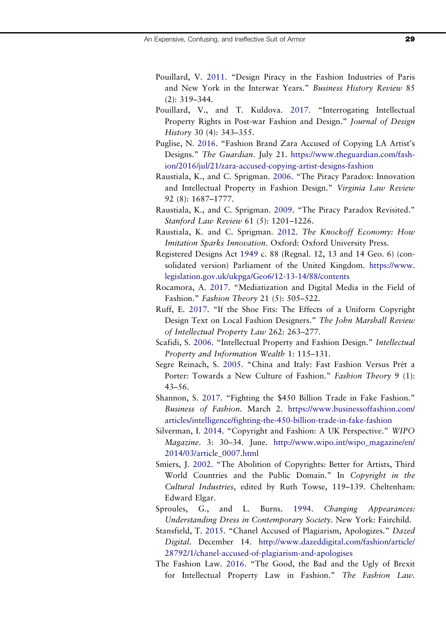- <span id="page-29-0"></span>Pouillard, V. [2011.](#page-7-0) "Design Piracy in the Fashion Industries of Paris and New York in the Interwar Years." Business History Review 85 (2): 319–344.
- Pouillard, V., and T. Kuldova. [2017](#page-2-0). "Interrogating Intellectual Property Rights in Post-war Fashion and Design." Journal of Design History 30 (4): 343–355.
- Puglise, N. [2016.](#page-7-0) "Fashion Brand Zara Accused of Copying LA Artist's Designs." The Guardian. July 21. [https://www.theguardian.com/fash](https://www.theguardian.com/fashion/2016/jul/21/zara-accused-copying-artist-designs-fashion)[ion/2016/jul/21/zara-accused-copying-artist-designs-fashion](https://www.theguardian.com/fashion/2016/jul/21/zara-accused-copying-artist-designs-fashion)
- Raustiala, K., and C. Sprigman. [2006](#page-3-0). "The Piracy Paradox: Innovation and Intellectual Property in Fashion Design." Virginia Law Review 92 (8): 1687–1777.
- Raustiala, K., and C. Sprigman. [2009](#page-19-0). "The Piracy Paradox Revisited." Stanford Law Review 61 (5): 1201–1226.
- Raustiala, K. and C. Sprigman. [2012](#page-19-0). The Knockoff Economy: How Imitation Sparks Innovation. Oxford: Oxford University Press.
- Registered Designs Act [1949](#page-11-0) c. 88 (Regnal. 12, 13 and 14 Geo. 6) (consolidated version) Parliament of the United Kingdom. [https://www.](https://www.legislation.gov.uk/ukpga/Geo6/12-13-14/88/contents) [legislation.gov.uk/ukpga/Geo6/12-13-14/88/contents](https://www.legislation.gov.uk/ukpga/Geo6/12-13-14/88/contents)
- Rocamora, A. [2017](#page-6-0). "Mediatization and Digital Media in the Field of Fashion." Fashion Theory 21 (5): 505–522.
- Ruff, E. [2017](#page-9-0). "If the Shoe Fits: The Effects of a Uniform Copyright Design Text on Local Fashion Designers." The John Marshall Review of Intellectual Property Law 262: 263–277.
- Scafidi, S. [2006](#page-6-0). "Intellectual Property and Fashion Design." Intellectual Property and Information Wealth 1: 115–131.
- Segre Reinach, S. [2005.](#page-6-0) "China and Italy: Fast Fashion Versus Prêt a Porter: Towards a New Culture of Fashion." Fashion Theory 9 (1): 43–56.
- Shannon, S. [2017.](#page-2-0) "Fighting the \$450 Billion Trade in Fake Fashion." Business of Fashion. March 2. [https://www.businessoffashion.com/](https://www.businessoffashion.com/articles/intelligence/fighting-the-450-billion-trade-in-fake-fashion) [articles/intelligence/fighting-the-450-billion-trade-in-fake-fashion](https://www.businessoffashion.com/articles/intelligence/fighting-the-450-billion-trade-in-fake-fashion)
- Silverman, I. [2014](#page-6-0). "Copyright and Fashion: A UK Perspective." WIPO Magazine. 3: 30–34. June. [http://www.wipo.int/wipo\\_magazine/en/](http://www.wipo.int/wipo_magazine/en/2014/03/article_0007.html) [2014/03/article\\_0007.html](http://www.wipo.int/wipo_magazine/en/2014/03/article_0007.html)
- Smiers, J. [2002](#page-6-0). "The Abolition of Copyrights: Better for Artists, Third World Countries and the Public Domain." In Copyright in the Cultural Industries, edited by Ruth Towse, 119–139. Cheltenham: Edward Elgar.
- Sproules, G., and L. Burns. [1994](#page-6-0). Changing Appearances: Understanding Dress in Contemporary Society. New York: Fairchild.
- Stansfield, T. [2015](#page-24-0). "Chanel Accused of Plagiarism, Apologizes." Dazed Digital. December 14. [http://www.dazeddigital.com/fashion/article/](http://www.dazeddigital.com/fashion/article/28792/1/chanel-accused-of-plagiarism-and-apologises) [28792/1/chanel-accused-of-plagiarism-and-apologises](http://www.dazeddigital.com/fashion/article/28792/1/chanel-accused-of-plagiarism-and-apologises)
- The Fashion Law. [2016](#page-15-0). "The Good, the Bad and the Ugly of Brexit for Intellectual Property Law in Fashion." The Fashion Law.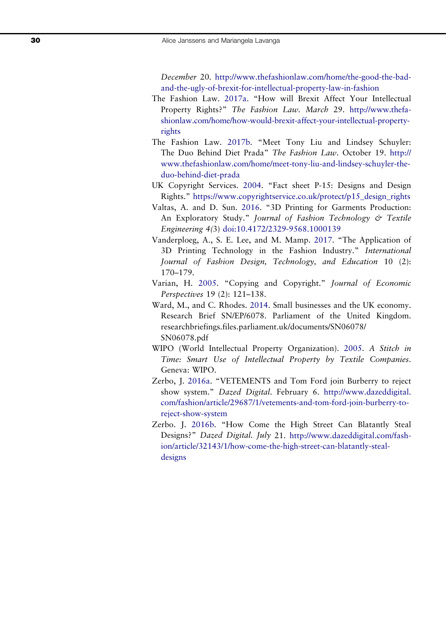<span id="page-30-0"></span>December 20. [http://www.thefashionlaw.com/home/the-good-the-bad](http://www.thefashionlaw.com/home/the-good-the-bad-and-the-ugly-of-brexit-for-intellectual-property-law-in-fashion)[and-the-ugly-of-brexit-for-intellectual-property-law-in-fashion](http://www.thefashionlaw.com/home/the-good-the-bad-and-the-ugly-of-brexit-for-intellectual-property-law-in-fashion)

- The Fashion Law. [2017a.](#page-15-0) "How will Brexit Affect Your Intellectual Property Rights?" The Fashion Law. March 29. [http://www.thefa](http://www.thefashionlaw.com/home/how-would-brexit-affect-your-intellectual-property-rights)[shionlaw.com/home/how-would-brexit-affect-your-intellectual-property](http://www.thefashionlaw.com/home/how-would-brexit-affect-your-intellectual-property-rights)[rights](http://www.thefashionlaw.com/home/how-would-brexit-affect-your-intellectual-property-rights)
- The Fashion Law. [2017b.](#page-7-0) "Meet Tony Liu and Lindsey Schuyler: The Duo Behind Diet Prada" The Fashion Law. October 19. [http://](http://www.thefashionlaw.com/home/meet-tony-liu-and-lindsey-schuyler-the-duo-behind-diet-prada) [www.thefashionlaw.com/home/meet-tony-liu-and-lindsey-schuyler-the](http://www.thefashionlaw.com/home/meet-tony-liu-and-lindsey-schuyler-the-duo-behind-diet-prada)[duo-behind-diet-prada](http://www.thefashionlaw.com/home/meet-tony-liu-and-lindsey-schuyler-the-duo-behind-diet-prada)
- UK Copyright Services. [2004](#page-20-0). "Fact sheet P-15: Designs and Design Rights." [https://www.copyrightservice.co.uk/protect/p15\\_design\\_rights](https://www.copyrightservice.co.uk/protect/p15_design_rights)
- Valtas, A. and D. Sun. [2016](#page-6-0). "3D Printing for Garments Production: An Exploratory Study." Journal of Fashion Technology & Textile Engineering 4(3) [doi:10.4172/2329-9568.1000139](http://doi:10.4172/2329-9568.1000139)
- Vanderploeg, A., S. E. Lee, and M. Mamp. [2017.](#page-6-0) "The Application of 3D Printing Technology in the Fashion Industry." International Journal of Fashion Design, Technology, and Education 10 (2): 170–179.
- Varian, H. [2005.](#page-6-0) "Copying and Copyright." Journal of Economic Perspectives 19 (2): 121–138.
- Ward, M., and C. Rhodes. [2014.](#page-4-0) Small businesses and the UK economy. Research Brief SN/EP/6078. Parliament of the United Kingdom. researchbriefings.files.parliament.uk/documents/SN06078/ SN06078.pdf
- WIPO (World Intellectual Property Organization). [2005.](#page-21-0) A Stitch in Time: Smart Use of Intellectual Property by Textile Companies. Geneva: WIPO.
- Zerbo, J. [2016a](#page-7-0). "VETEMENTS and Tom Ford join Burberry to reject show system." Dazed Digital. February 6. [http://www.dazeddigital.](http://www.dazeddigital.com/fashion/article/29687/1/vetements-and-tom-ford-join-burberry-to-reject-show-system) [com/fashion/article/29687/1/vetements-and-tom-ford-join-burberry-to](http://www.dazeddigital.com/fashion/article/29687/1/vetements-and-tom-ford-join-burberry-to-reject-show-system)[reject-show-system](http://www.dazeddigital.com/fashion/article/29687/1/vetements-and-tom-ford-join-burberry-to-reject-show-system)
- Zerbo. J. [2016b.](#page-17-0) "How Come the High Street Can Blatantly Steal Designs?" Dazed Digital. July 21. http://www.dazeddigital.com/fashion/article/32143/1/how-come-the-high-street-can-blatantly-stealdesigns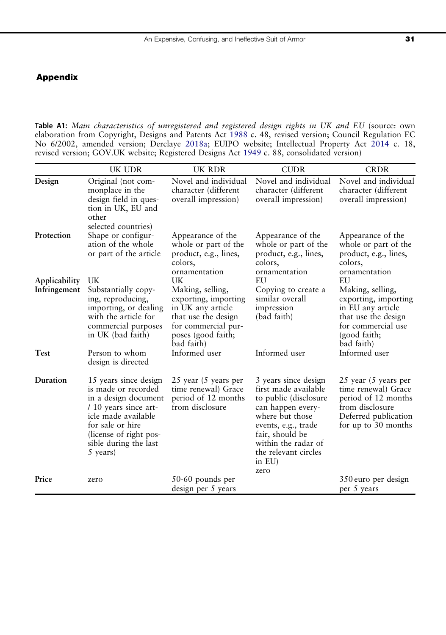# <span id="page-31-0"></span>Appendix

Table A1: Main characteristics of unregistered and registered design rights in UK and EU (source: own elaboration from Copyright, Designs and Patents Act [1988](#page-26-0) c. 48, revised version; Council Regulation EC No 6/2002, amended version; Derclaye [2018a;](#page-27-0) EUIPO website; Intellectual Property Act [2014](#page-28-0) c. 18, revised version; GOV.UK website; Registered Designs Act [1949](#page-29-0) c. 88, consolidated version)

|                               | UK UDR                                                                                                                                                                                                  | <b>UK RDR</b>                                                                                                                                         | <b>CUDR</b>                                                                                                                                                                                                              | <b>CRDR</b>                                                                                                                                    |
|-------------------------------|---------------------------------------------------------------------------------------------------------------------------------------------------------------------------------------------------------|-------------------------------------------------------------------------------------------------------------------------------------------------------|--------------------------------------------------------------------------------------------------------------------------------------------------------------------------------------------------------------------------|------------------------------------------------------------------------------------------------------------------------------------------------|
| Design                        | Original (not com-<br>monplace in the<br>design field in ques-<br>tion in UK, EU and<br>other<br>selected countries)                                                                                    | Novel and individual<br>character (different<br>overall impression)                                                                                   | Novel and individual<br>character (different<br>overall impression)                                                                                                                                                      | Novel and individual<br>character (different<br>overall impression)                                                                            |
| Protection                    | Shape or configur-<br>ation of the whole<br>or part of the article                                                                                                                                      | Appearance of the<br>whole or part of the<br>product, e.g., lines,<br>colors,<br>ornamentation                                                        | Appearance of the<br>whole or part of the<br>product, e.g., lines,<br>colors,<br>ornamentation                                                                                                                           | Appearance of the<br>whole or part of the<br>product, e.g., lines,<br>colors,<br>ornamentation                                                 |
| Applicability<br>Infringement | UK<br>Substantially copy-<br>ing, reproducing,<br>importing, or dealing<br>with the article for<br>commercial purposes<br>in UK (bad faith)                                                             | UK<br>Making, selling,<br>exporting, importing<br>in UK any article<br>that use the design<br>for commercial pur-<br>poses (good faith;<br>bad faith) | EU<br>Copying to create a<br>similar overall<br>impression<br>(bad faith)                                                                                                                                                | EU<br>Making, selling,<br>exporting, importing<br>in EU any article<br>that use the design<br>for commercial use<br>(good faith;<br>bad faith) |
| Test                          | Person to whom<br>design is directed                                                                                                                                                                    | Informed user                                                                                                                                         | Informed user                                                                                                                                                                                                            | Informed user                                                                                                                                  |
| Duration                      | 15 years since design<br>is made or recorded<br>in a design document<br>/ 10 years since art-<br>icle made available<br>for sale or hire<br>(license of right pos-<br>sible during the last<br>5 years) | 25 year (5 years per<br>time renewal) Grace<br>period of 12 months<br>from disclosure                                                                 | 3 years since design<br>first made available<br>to public (disclosure<br>can happen every-<br>where but those<br>events, e.g., trade<br>fair, should be<br>within the radar of<br>the relevant circles<br>in EU)<br>zero | 25 year (5 years per<br>time renewal) Grace<br>period of 12 months<br>from disclosure<br>Deferred publication<br>for up to 30 months           |
| Price                         | zero                                                                                                                                                                                                    | 50-60 pounds per<br>design per 5 years                                                                                                                |                                                                                                                                                                                                                          | 350 euro per design<br>per 5 years                                                                                                             |